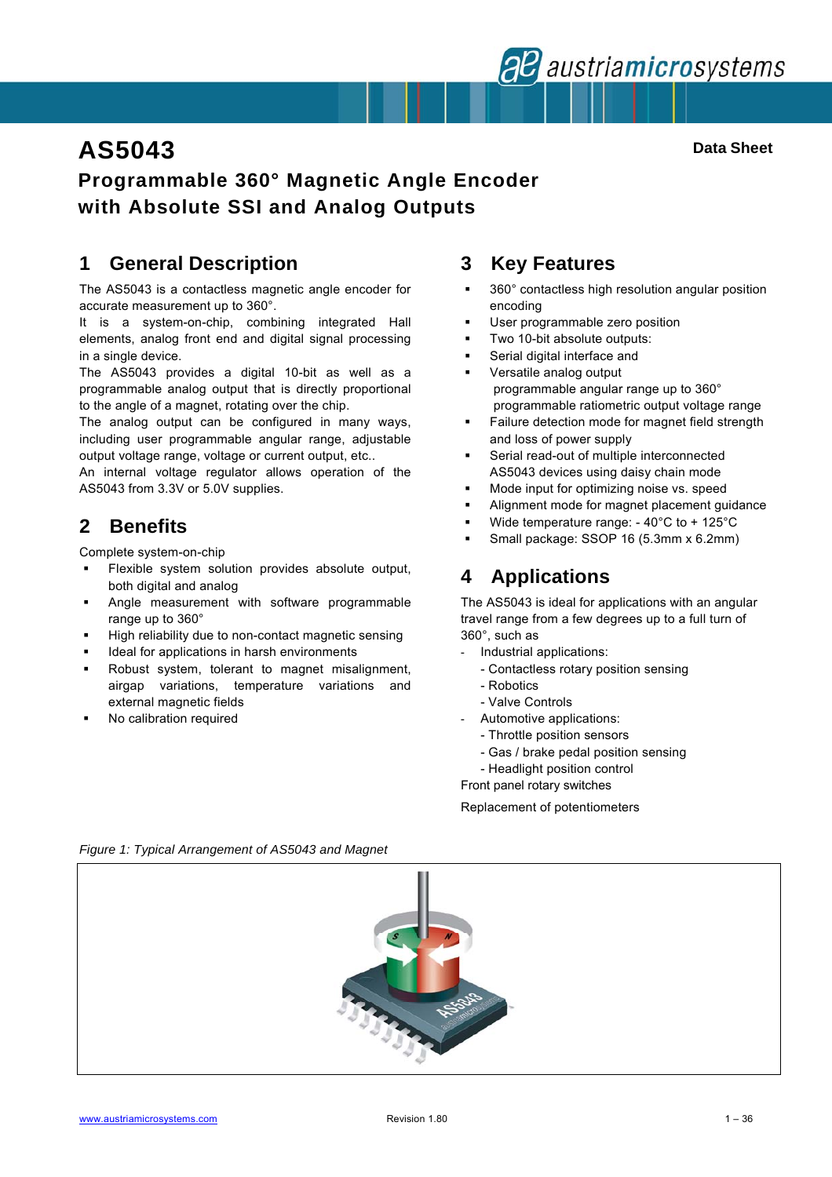

# **AS5043** Data Sheet

# **Programmable 360° Magnetic Angle Encoder with Absolute SSI and Analog Outputs**

# **1 General Description**

The AS5043 is a contactless magnetic angle encoder for accurate measurement up to 360°.

It is a system-on-chip, combining integrated Hall elements, analog front end and digital signal processing in a single device.

The AS5043 provides a digital 10-bit as well as a programmable analog output that is directly proportional to the angle of a magnet, rotating over the chip.

The analog output can be configured in many ways, including user programmable angular range, adjustable output voltage range, voltage or current output, etc..

An internal voltage regulator allows operation of the AS5043 from 3.3V or 5.0V supplies.

# **2 Benefits**

Complete system-on-chip

- Flexible system solution provides absolute output, both digital and analog
- **Angle measurement with software programmable** range up to 360°
- High reliability due to non-contact magnetic sensing
- Ideal for applications in harsh environments
- Robust system, tolerant to magnet misalignment, airgap variations, temperature variations and external magnetic fields
- No calibration required

### **3 Key Features**

- 360° contactless high resolution angular position encoding
- User programmable zero position
- Two 10-bit absolute outputs:
- Serial digital interface and
- Versatile analog output programmable angular range up to 360° programmable ratiometric output voltage range
- Failure detection mode for magnet field strength and loss of power supply
- Serial read-out of multiple interconnected AS5043 devices using daisy chain mode
- Mode input for optimizing noise vs. speed
- Alignment mode for magnet placement guidance
- Wide temperature range: 40°C to + 125°C
- Small package: SSOP 16 (5.3mm x 6.2mm)

# **4 Applications**

The AS5043 is ideal for applications with an angular travel range from a few degrees up to a full turn of 360°, such as

- Industrial applications:
	- Contactless rotary position sensing
	- Robotics
	- Valve Controls
- Automotive applications:
	- Throttle position sensors
	- Gas / brake pedal position sensing
	- Headlight position control

Front panel rotary switches

Replacement of potentiometers

*Figure 1: Typical Arrangement of AS5043 and Magnet*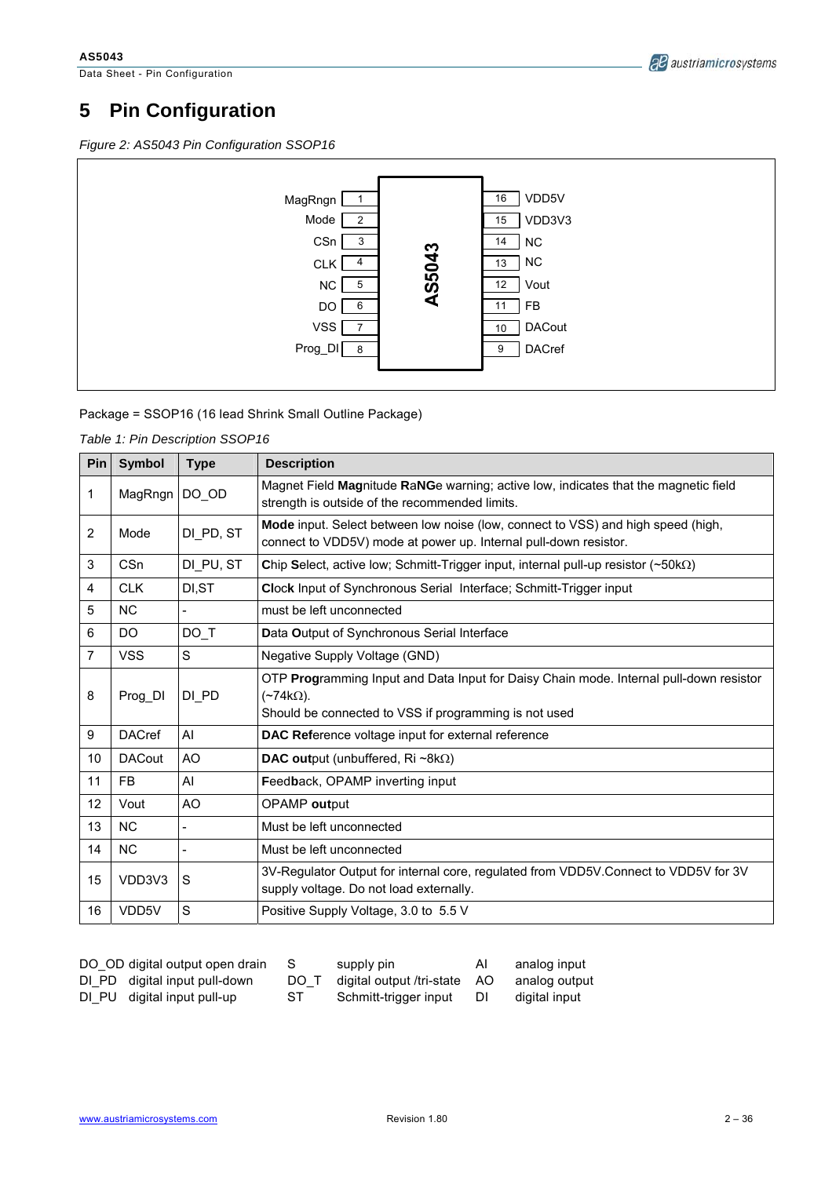Data Sheet - Pin Configuration



# **5 Pin Configuration**

*Figure 2: AS5043 Pin Configuration SSOP16* 



Package = SSOP16 (16 lead Shrink Small Outline Package)

*Table 1: Pin Description SSOP16* 

| Pin            | Symbol          | <b>Type</b> | <b>Description</b>                                                                                                                                                      |
|----------------|-----------------|-------------|-------------------------------------------------------------------------------------------------------------------------------------------------------------------------|
| 1              | MagRngn         | $DO$ $OD$   | Magnet Field Magnitude RaNGe warning; active low, indicates that the magnetic field<br>strength is outside of the recommended limits.                                   |
| 2              | Mode            | DI PD, ST   | <b>Mode</b> input. Select between low noise (low, connect to VSS) and high speed (high,<br>connect to VDD5V) mode at power up. Internal pull-down resistor.             |
| 3              | C <sub>Sn</sub> | DI PU, ST   | Chip Select, active low; Schmitt-Trigger input, internal pull-up resistor $(\sim 50 \text{k}\Omega)$                                                                    |
| 4              | <b>CLK</b>      | DI, ST      | Clock Input of Synchronous Serial Interface; Schmitt-Trigger input                                                                                                      |
| 5              | <b>NC</b>       |             | must be left unconnected                                                                                                                                                |
| 6              | DO              | DO T        | Data Output of Synchronous Serial Interface                                                                                                                             |
| $\overline{7}$ | <b>VSS</b>      | S           | Negative Supply Voltage (GND)                                                                                                                                           |
| 8              | Prog DI         | DI PD       | OTP Programming Input and Data Input for Daisy Chain mode. Internal pull-down resistor<br>$(\sim 74k\Omega)$ .<br>Should be connected to VSS if programming is not used |
| 9              | <b>DACref</b>   | AI          | DAC Reference voltage input for external reference                                                                                                                      |
| 10             | <b>DACout</b>   | AO          | <b>DAC output (unbuffered, Ri</b> $\sim$ 8k $\Omega$ )                                                                                                                  |
| 11             | FB              | AI          | Feedback, OPAMP inverting input                                                                                                                                         |
| 12             | Vout            | AO          | OPAMP output                                                                                                                                                            |
| 13             | <b>NC</b>       |             | Must be left unconnected                                                                                                                                                |
| 14             | NC.             |             | Must be left unconnected                                                                                                                                                |
| 15             | VDD3V3          | S           | 3V-Regulator Output for internal core, regulated from VDD5V.Connect to VDD5V for 3V<br>supply voltage. Do not load externally.                                          |
| 16             | VDD5V           | S           | Positive Supply Voltage, 3.0 to 5.5 V                                                                                                                                   |

| DO OD digital output open drain |
|---------------------------------|
| DI PD digital input pull-down   |
| DI PU digital input pull-up     |

| DO OD digital output open drain |      | supply pin                   | AI | analog input  |
|---------------------------------|------|------------------------------|----|---------------|
| DI PD digital input pull-down   | DO T | digital output /tri-state AO |    | analog output |
| DI_PU digital input pull-up     | ST   | Schmitt-trigger input DI     |    | digital input |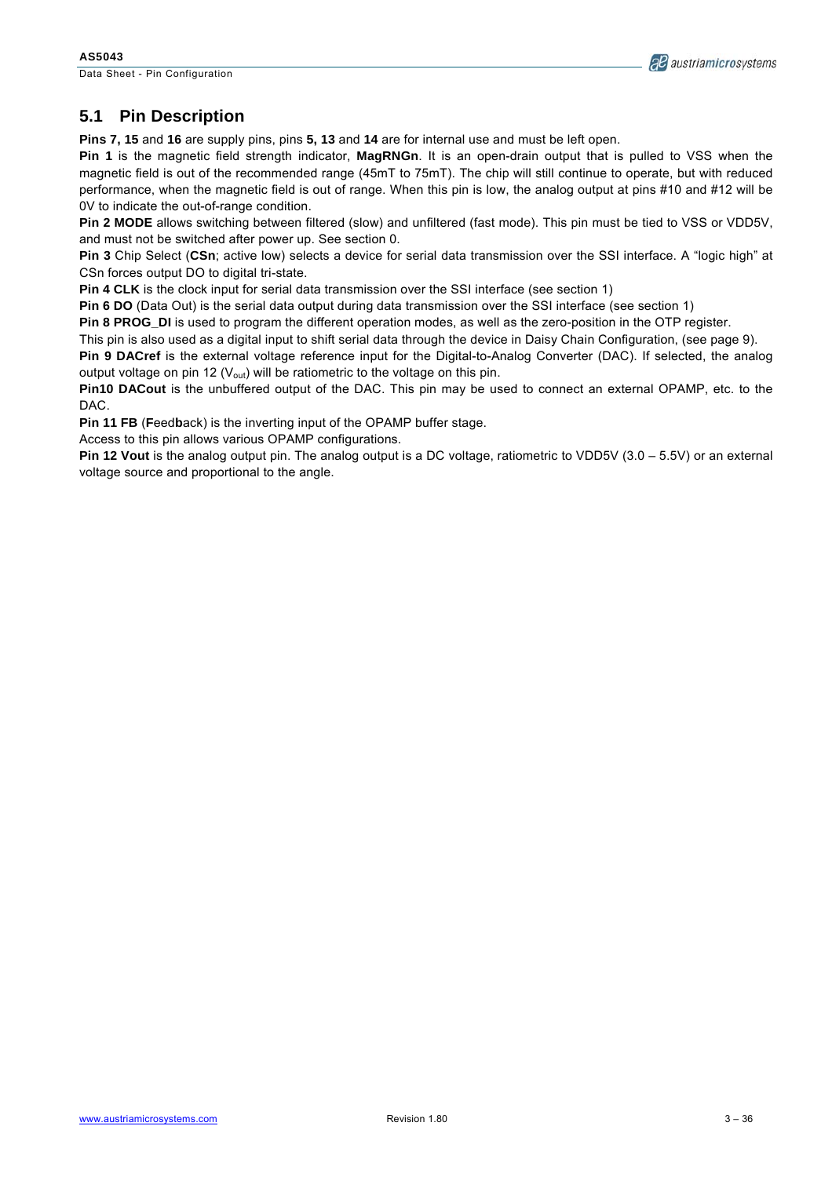Data Sheet - Pin Configuration



### **5.1 Pin Description**

**Pins 7, 15** and **16** are supply pins, pins **5, 13** and **14** are for internal use and must be left open.

**Pin 1** is the magnetic field strength indicator, **MagRNGn**. It is an open-drain output that is pulled to VSS when the magnetic field is out of the recommended range (45mT to 75mT). The chip will still continue to operate, but with reduced performance, when the magnetic field is out of range. When this pin is low, the analog output at pins #10 and #12 will be 0V to indicate the out-of-range condition.

**Pin 2 MODE** allows switching between filtered (slow) and unfiltered (fast mode). This pin must be tied to VSS or VDD5V, and must not be switched after power up. See section 0.

**Pin 3** Chip Select (**CSn**; active low) selects a device for serial data transmission over the SSI interface. A "logic high" at CSn forces output DO to digital tri-state.

**Pin 4 CLK** is the clock input for serial data transmission over the SSI interface (see section 1)

**Pin 6 DO** (Data Out) is the serial data output during data transmission over the SSI interface (see section 1)

**Pin 8 PROG\_DI** is used to program the different operation modes, as well as the zero-position in the OTP register.

This pin is also used as a digital input to shift serial data through the device in Daisy Chain Configuration, (see page 9).

**Pin 9 DACref** is the external voltage reference input for the Digital-to-Analog Converter (DAC). If selected, the analog output voltage on pin 12 ( $V_{\text{out}}$ ) will be ratiometric to the voltage on this pin.

**Pin10 DACout** is the unbuffered output of the DAC. This pin may be used to connect an external OPAMP, etc. to the DAC.

**Pin 11 FB** (**F**eed**b**ack) is the inverting input of the OPAMP buffer stage.

Access to this pin allows various OPAMP configurations.

**Pin 12 Vout** is the analog output pin. The analog output is a DC voltage, ratiometric to VDD5V (3.0 – 5.5V) or an external voltage source and proportional to the angle.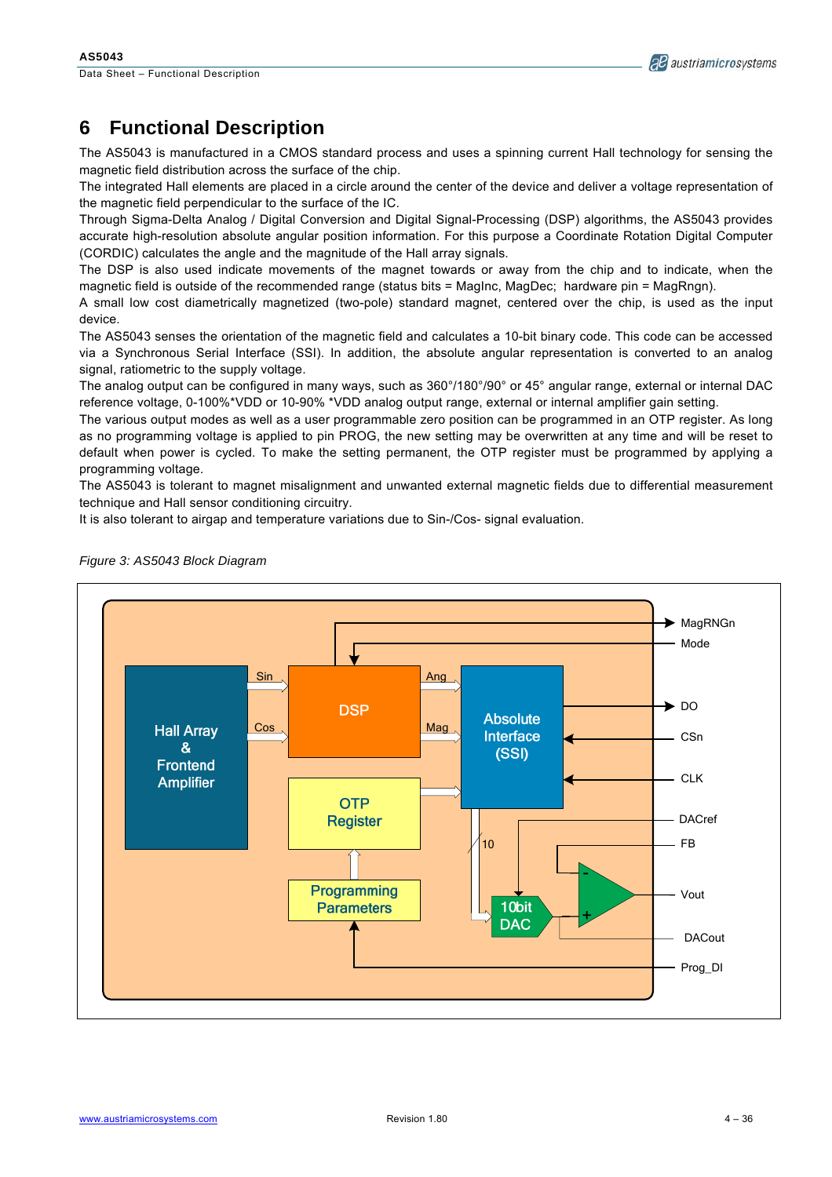

# **6 Functional Description**

The AS5043 is manufactured in a CMOS standard process and uses a spinning current Hall technology for sensing the magnetic field distribution across the surface of the chip.

The integrated Hall elements are placed in a circle around the center of the device and deliver a voltage representation of the magnetic field perpendicular to the surface of the IC.

Through Sigma-Delta Analog / Digital Conversion and Digital Signal-Processing (DSP) algorithms, the AS5043 provides accurate high-resolution absolute angular position information. For this purpose a Coordinate Rotation Digital Computer (CORDIC) calculates the angle and the magnitude of the Hall array signals.

The DSP is also used indicate movements of the magnet towards or away from the chip and to indicate, when the magnetic field is outside of the recommended range (status bits = MagInc, MagDec; hardware pin = MagRngn).

A small low cost diametrically magnetized (two-pole) standard magnet, centered over the chip, is used as the input device.

The AS5043 senses the orientation of the magnetic field and calculates a 10-bit binary code. This code can be accessed via a Synchronous Serial Interface (SSI). In addition, the absolute angular representation is converted to an analog signal, ratiometric to the supply voltage.

The analog output can be configured in many ways, such as 360°/180°/90° or 45° angular range, external or internal DAC reference voltage, 0-100%\*VDD or 10-90% \*VDD analog output range, external or internal amplifier gain setting.

The various output modes as well as a user programmable zero position can be programmed in an OTP register. As long as no programming voltage is applied to pin PROG, the new setting may be overwritten at any time and will be reset to default when power is cycled. To make the setting permanent, the OTP register must be programmed by applying a programming voltage.

The AS5043 is tolerant to magnet misalignment and unwanted external magnetic fields due to differential measurement technique and Hall sensor conditioning circuitry.

It is also tolerant to airgap and temperature variations due to Sin-/Cos- signal evaluation.



*Figure 3: AS5043 Block Diagram*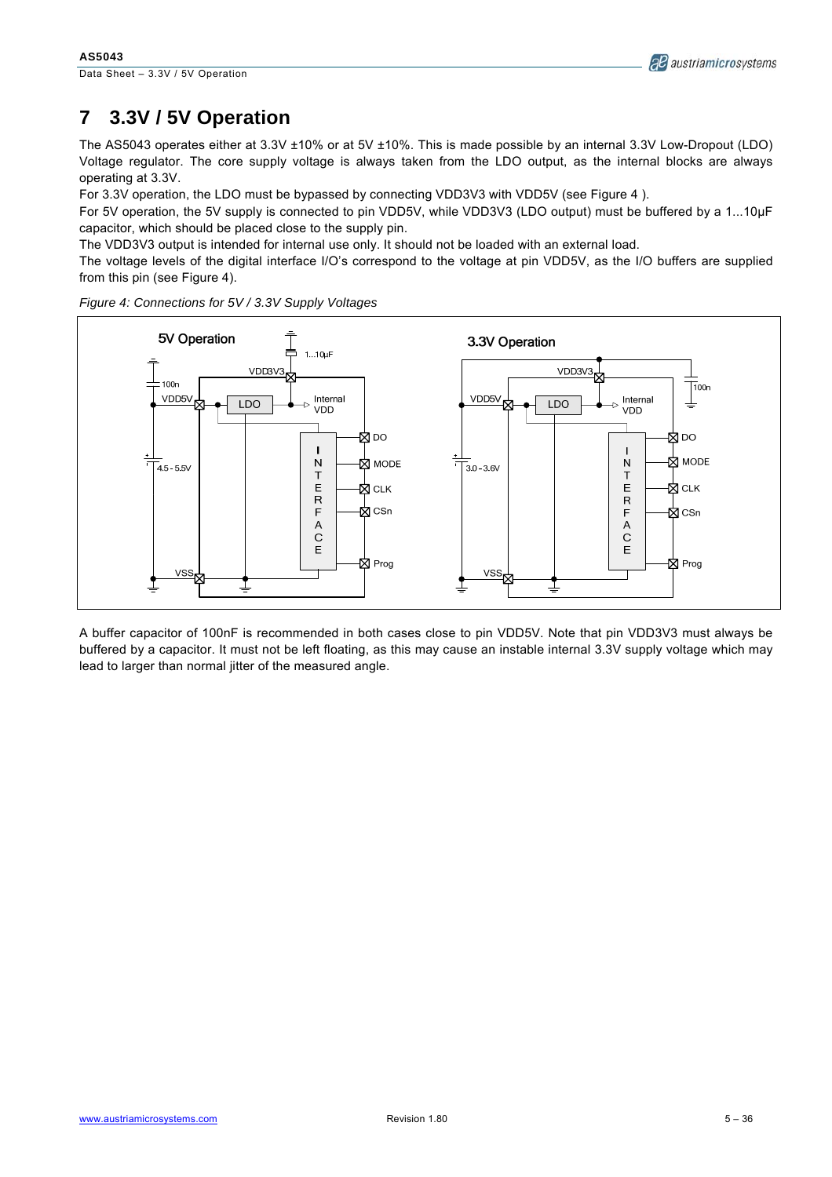# **7 3.3V / 5V Operation**

The AS5043 operates either at 3.3V ±10% or at 5V ±10%. This is made possible by an internal 3.3V Low-Dropout (LDO) Voltage regulator. The core supply voltage is always taken from the LDO output, as the internal blocks are always operating at 3.3V.

For 3.3V operation, the LDO must be bypassed by connecting VDD3V3 with VDD5V (see Figure 4).

For 5V operation, the 5V supply is connected to pin VDD5V, while VDD3V3 (LDO output) must be buffered by a 1...10µF capacitor, which should be placed close to the supply pin.

The VDD3V3 output is intended for internal use only. It should not be loaded with an external load.

The voltage levels of the digital interface I/O's correspond to the voltage at pin VDD5V, as the I/O buffers are supplied from this pin (see Figure 4).



*Figure 4: Connections for 5V / 3.3V Supply Voltages* 

A buffer capacitor of 100nF is recommended in both cases close to pin VDD5V. Note that pin VDD3V3 must always be buffered by a capacitor. It must not be left floating, as this may cause an instable internal 3.3V supply voltage which may lead to larger than normal jitter of the measured angle.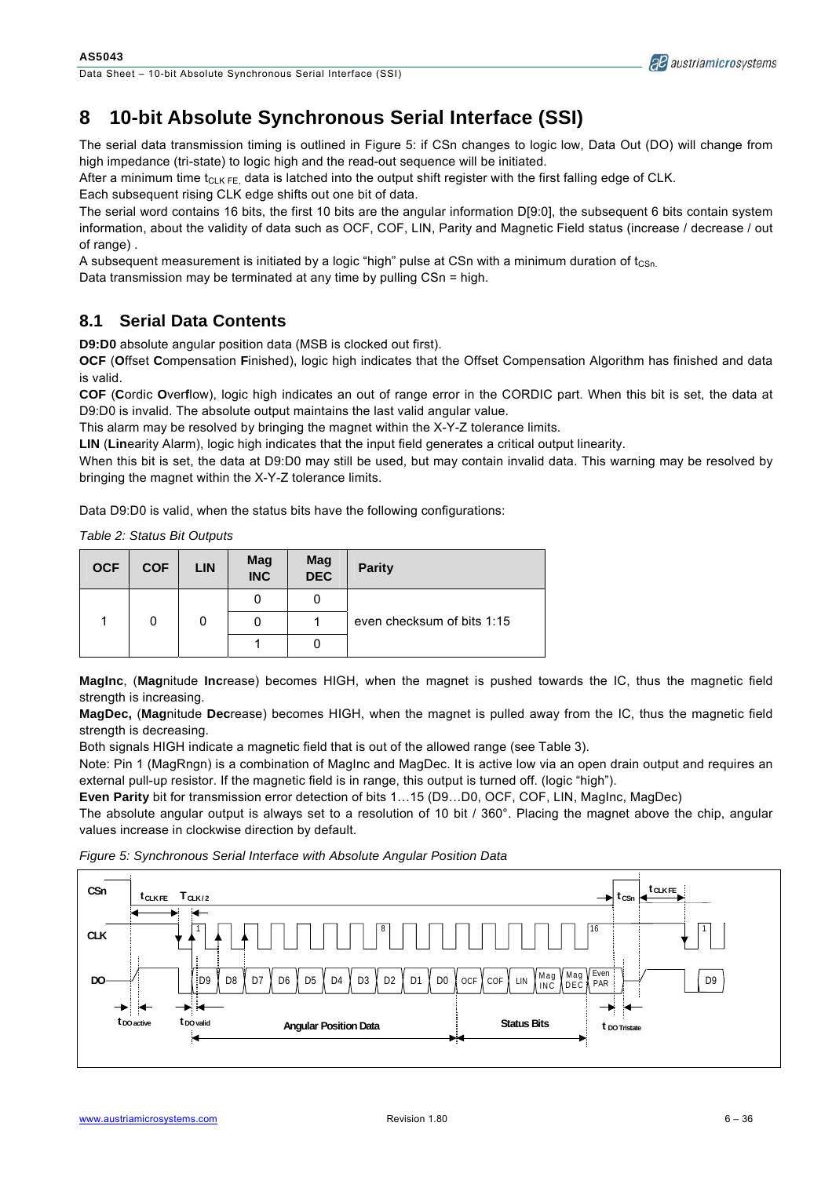Data Sheet – 10-bit Absolute Synchronous Serial Interface (SSI)

# **8 10-bit Absolute Synchronous Serial Interface (SSI)**

The serial data transmission timing is outlined in Figure 5: if CSn changes to logic low, Data Out (DO) will change from high impedance (tri-state) to logic high and the read-out sequence will be initiated.

After a minimum time  $t_{\text{ClK EF}}$  data is latched into the output shift register with the first falling edge of CLK.

Each subsequent rising CLK edge shifts out one bit of data.

The serial word contains 16 bits, the first 10 bits are the angular information D[9:0], the subsequent 6 bits contain system information, about the validity of data such as OCF, COF, LIN, Parity and Magnetic Field status (increase / decrease / out of range) .

A subsequent measurement is initiated by a logic "high" pulse at CSn with a minimum duration of  $t_{\text{CSn}}$ .

Data transmission may be terminated at any time by pulling CSn = high.

### **8.1 Serial Data Contents**

**D9:D0** absolute angular position data (MSB is clocked out first).

**OCF** (**O**ffset **C**ompensation **F**inished), logic high indicates that the Offset Compensation Algorithm has finished and data is valid.

**COF** (**C**ordic **O**ver**f**low), logic high indicates an out of range error in the CORDIC part. When this bit is set, the data at D9:D0 is invalid. The absolute output maintains the last valid angular value.

This alarm may be resolved by bringing the magnet within the X-Y-Z tolerance limits.

**LIN** (**Lin**earity Alarm), logic high indicates that the input field generates a critical output linearity.

When this bit is set, the data at D9:D0 may still be used, but may contain invalid data. This warning may be resolved by bringing the magnet within the X-Y-Z tolerance limits.

Data D9:D0 is valid, when the status bits have the following configurations:

*Table 2: Status Bit Outputs* 

| <b>OCF</b> | <b>COF</b> | <b>LIN</b> | Mag<br><b>INC</b> | Mag<br><b>DEC</b> | <b>Parity</b>              |
|------------|------------|------------|-------------------|-------------------|----------------------------|
|            |            |            |                   | 0                 |                            |
|            |            |            |                   |                   | even checksum of bits 1:15 |
|            |            |            |                   |                   |                            |

**MagInc**, (**Mag**nitude **Inc**rease) becomes HIGH, when the magnet is pushed towards the IC, thus the magnetic field strength is increasing.

**MagDec,** (**Mag**nitude **Dec**rease) becomes HIGH, when the magnet is pulled away from the IC, thus the magnetic field strength is decreasing.

Both signals HIGH indicate a magnetic field that is out of the allowed range (see Table 3).

Note: Pin 1 (MagRngn) is a combination of MagInc and MagDec. It is active low via an open drain output and requires an external pull-up resistor. If the magnetic field is in range, this output is turned off. (logic "high").

**Even Parity** bit for transmission error detection of bits 1…15 (D9…D0, OCF, COF, LIN, MagInc, MagDec)

The absolute angular output is always set to a resolution of 10 bit / 360°. Placing the magnet above the chip, angular values increase in clockwise direction by default.

*Figure 5: Synchronous Serial Interface with Absolute Angular Position Data* 



**AB** austriamicrosystems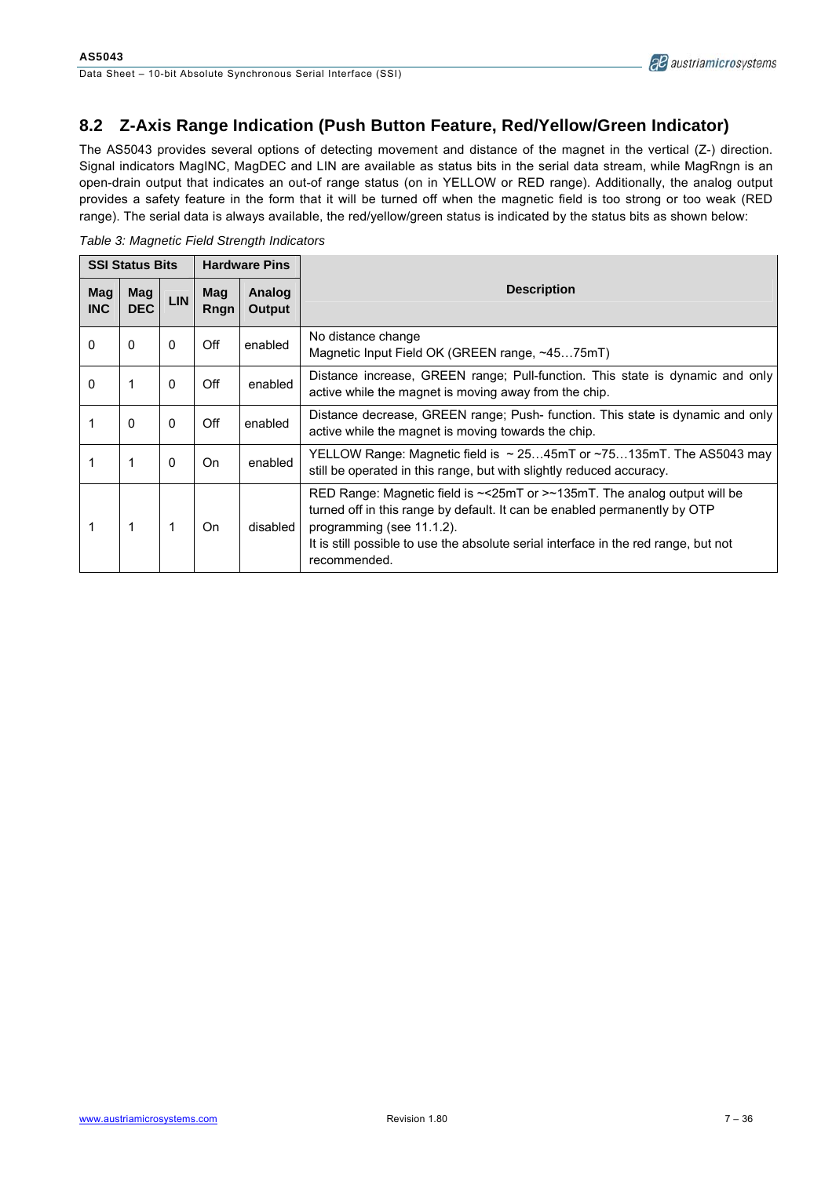### **8.2 Z-Axis Range Indication (Push Button Feature, Red/Yellow/Green Indicator)**

The AS5043 provides several options of detecting movement and distance of the magnet in the vertical (Z-) direction. Signal indicators MagINC, MagDEC and LIN are available as status bits in the serial data stream, while MagRngn is an open-drain output that indicates an out-of range status (on in YELLOW or RED range). Additionally, the analog output provides a safety feature in the form that it will be turned off when the magnetic field is too strong or too weak (RED range). The serial data is always available, the red/yellow/green status is indicated by the status bits as shown below:

*Table 3: Magnetic Field Strength Indicators* 

| <b>SSI Status Bits</b> |                   | <b>Hardware Pins</b> |             |                  |                                                                                                                                                                                                                                                                                                         |  |  |
|------------------------|-------------------|----------------------|-------------|------------------|---------------------------------------------------------------------------------------------------------------------------------------------------------------------------------------------------------------------------------------------------------------------------------------------------------|--|--|
| Mag<br><b>INC</b>      | Mag<br><b>DEC</b> | <b>LIN</b>           | Mag<br>Rngn | Analog<br>Output | <b>Description</b>                                                                                                                                                                                                                                                                                      |  |  |
| 0                      | 0                 | 0                    | Off         | enabled          | No distance change<br>Magnetic Input Field OK (GREEN range, ~4575mT)                                                                                                                                                                                                                                    |  |  |
| $\mathbf{0}$           | 1                 | $\mathbf{0}$         | Off         | enabled          | Distance increase, GREEN range; Pull-function. This state is dynamic and only<br>active while the magnet is moving away from the chip.                                                                                                                                                                  |  |  |
|                        | $\mathbf{0}$      | $\Omega$             | Off         | enabled          | Distance decrease, GREEN range; Push- function. This state is dynamic and only<br>active while the magnet is moving towards the chip.                                                                                                                                                                   |  |  |
|                        |                   | 0                    | On          | enabled          | YELLOW Range: Magnetic field is $\sim$ 2545mT or $\sim$ 75135mT. The AS5043 may<br>still be operated in this range, but with slightly reduced accuracy.                                                                                                                                                 |  |  |
|                        |                   | 1                    | On          | disabled         | RED Range: Magnetic field is $\sim$ <25mT or > $\sim$ 135mT. The analog output will be<br>turned off in this range by default. It can be enabled permanently by OTP<br>programming (see 11.1.2).<br>It is still possible to use the absolute serial interface in the red range, but not<br>recommended. |  |  |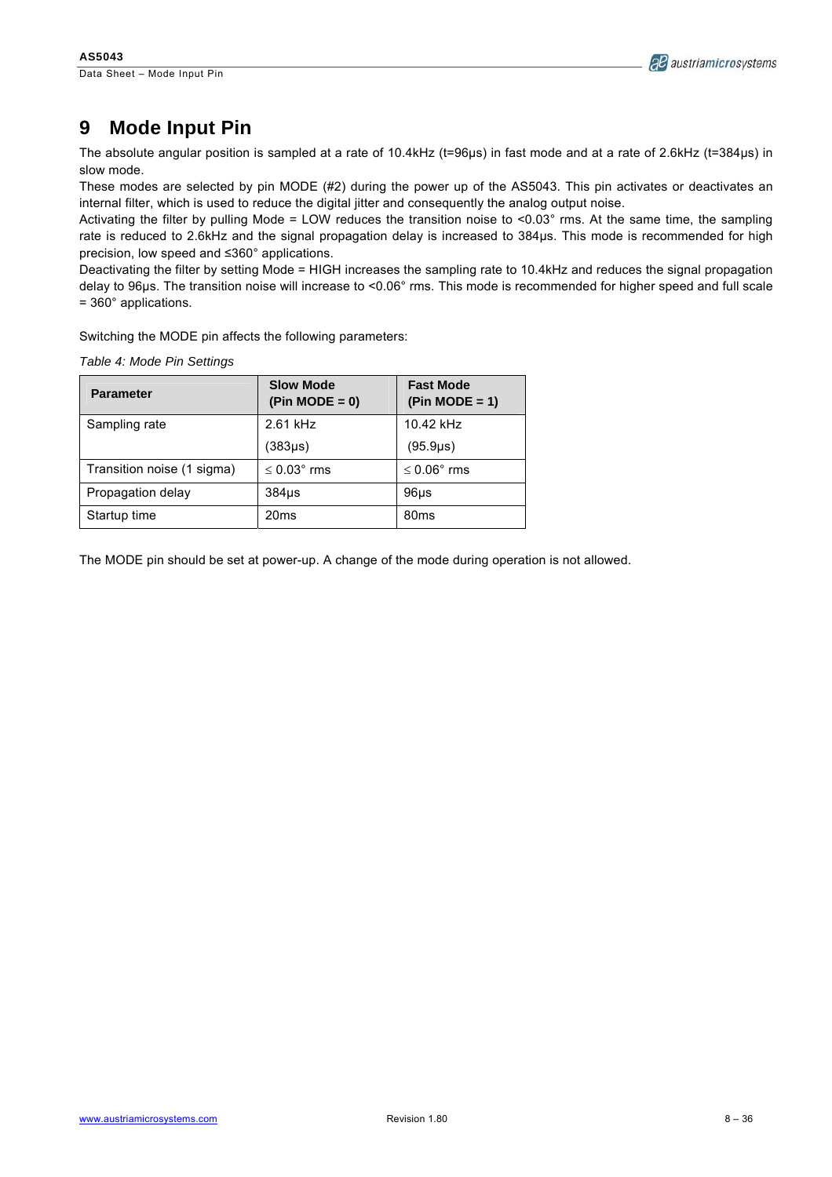

# **9 Mode Input Pin**

The absolute angular position is sampled at a rate of 10.4kHz (t=96µs) in fast mode and at a rate of 2.6kHz (t=384µs) in slow mode.

These modes are selected by pin MODE (#2) during the power up of the AS5043. This pin activates or deactivates an internal filter, which is used to reduce the digital jitter and consequently the analog output noise.

Activating the filter by pulling Mode = LOW reduces the transition noise to  $<0.03^\circ$  rms. At the same time, the sampling rate is reduced to 2.6kHz and the signal propagation delay is increased to 384µs. This mode is recommended for high precision, low speed and ≤360° applications.

Deactivating the filter by setting Mode = HIGH increases the sampling rate to 10.4kHz and reduces the signal propagation delay to 96µs. The transition noise will increase to <0.06° rms. This mode is recommended for higher speed and full scale = 360° applications.

Switching the MODE pin affects the following parameters:

| <b>Parameter</b>           | <b>Slow Mode</b><br>$(Pin MODE = 0)$ | <b>Fast Mode</b><br>$(Pin MODE = 1)$ |  |
|----------------------------|--------------------------------------|--------------------------------------|--|
| Sampling rate              | 2.61 kHz                             | $10.42$ kHz                          |  |
|                            | (383µs)                              | (95.9 <sub>µ</sub> s)                |  |
| Transition noise (1 sigma) | $\leq 0.03$ ° rms                    | $\leq 0.06$ ° rms                    |  |
| Propagation delay          | $384µ$ s                             | 96 <sub>µ</sub>                      |  |
| Startup time               | 20 <sub>ms</sub>                     | 80 <sub>ms</sub>                     |  |

The MODE pin should be set at power-up. A change of the mode during operation is not allowed.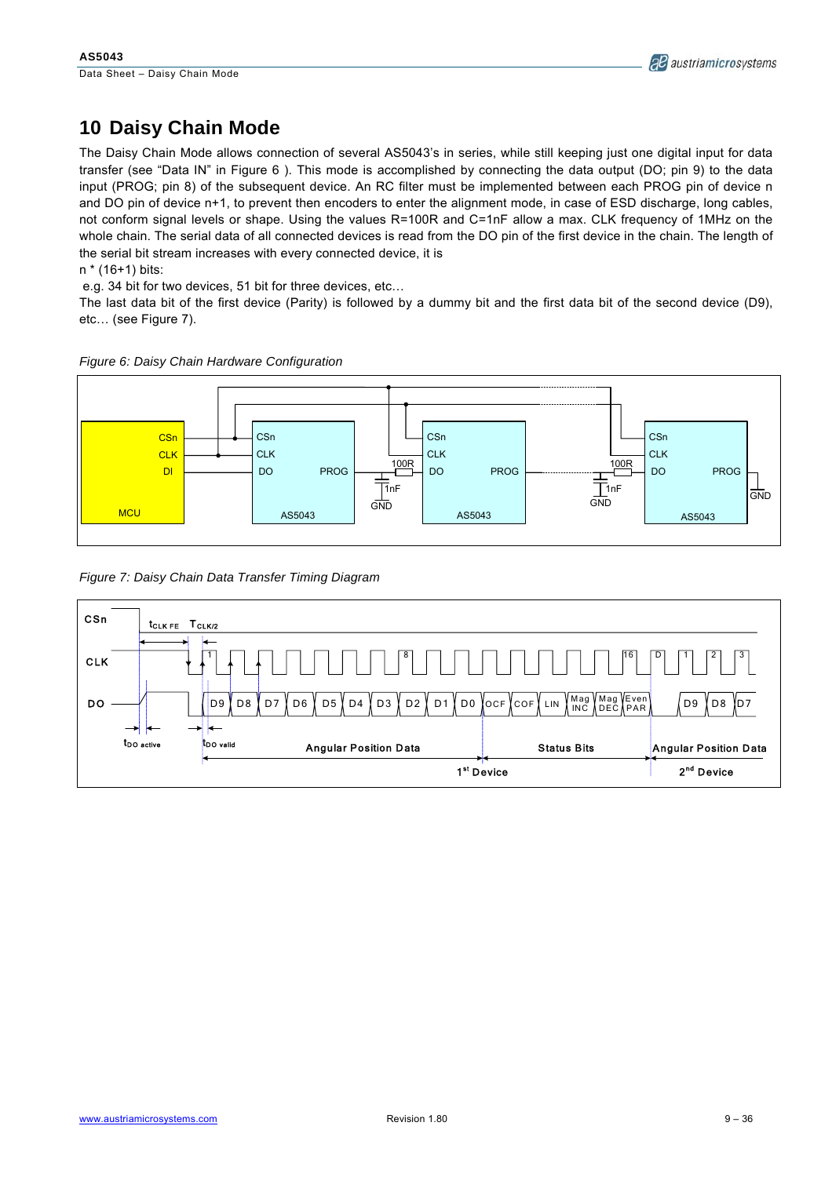# **10 Daisy Chain Mode**

The Daisy Chain Mode allows connection of several AS5043's in series, while still keeping just one digital input for data transfer (see "Data IN" in Figure 6 ). This mode is accomplished by connecting the data output (DO; pin 9) to the data input (PROG; pin 8) of the subsequent device. An RC filter must be implemented between each PROG pin of device n and DO pin of device n+1, to prevent then encoders to enter the alignment mode, in case of ESD discharge, long cables, not conform signal levels or shape. Using the values R=100R and C=1nF allow a max. CLK frequency of 1MHz on the whole chain. The serial data of all connected devices is read from the DO pin of the first device in the chain. The length of the serial bit stream increases with every connected device, it is n \* (16+1) bits:

e.g. 34 bit for two devices, 51 bit for three devices, etc…

The last data bit of the first device (Parity) is followed by a dummy bit and the first data bit of the second device (D9), etc… (see Figure 7).



*Figure 6: Daisy Chain Hardware Configuration* 

*Figure 7: Daisy Chain Data Transfer Timing Diagram* 

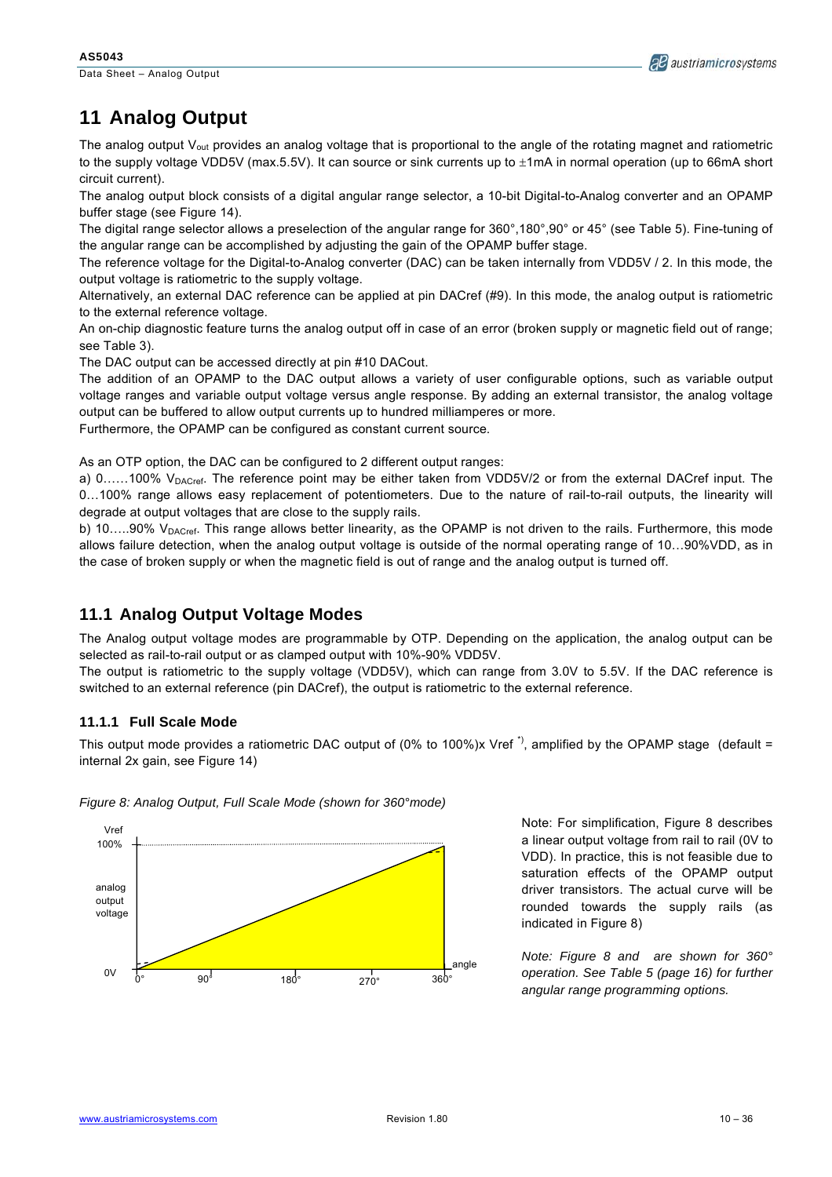Data Sheet – Analog Output



# **11 Analog Output**

The analog output  $V_{out}$  provides an analog voltage that is proportional to the angle of the rotating magnet and ratiometric to the supply voltage VDD5V (max.5.5V). It can source or sink currents up to ±1mA in normal operation (up to 66mA short circuit current).

The analog output block consists of a digital angular range selector, a 10-bit Digital-to-Analog converter and an OPAMP buffer stage (see Figure 14).

The digital range selector allows a preselection of the angular range for 360°,180°,90° or 45° (see Table 5). Fine-tuning of the angular range can be accomplished by adjusting the gain of the OPAMP buffer stage.

The reference voltage for the Digital-to-Analog converter (DAC) can be taken internally from VDD5V / 2. In this mode, the output voltage is ratiometric to the supply voltage.

Alternatively, an external DAC reference can be applied at pin DACref (#9). In this mode, the analog output is ratiometric to the external reference voltage.

An on-chip diagnostic feature turns the analog output off in case of an error (broken supply or magnetic field out of range; see Table 3).

The DAC output can be accessed directly at pin #10 DACout.

The addition of an OPAMP to the DAC output allows a variety of user configurable options, such as variable output voltage ranges and variable output voltage versus angle response. By adding an external transistor, the analog voltage output can be buffered to allow output currents up to hundred milliamperes or more.

Furthermore, the OPAMP can be configured as constant current source.

As an OTP option, the DAC can be configured to 2 different output ranges:

a) 0......100% V<sub>DACref</sub>. The reference point may be either taken from VDD5V/2 or from the external DACref input. The 0…100% range allows easy replacement of potentiometers. Due to the nature of rail-to-rail outputs, the linearity will degrade at output voltages that are close to the supply rails.

b) 10.....90%  $V_{DACref}$ . This range allows better linearity, as the OPAMP is not driven to the rails. Furthermore, this mode allows failure detection, when the analog output voltage is outside of the normal operating range of 10…90%VDD, as in the case of broken supply or when the magnetic field is out of range and the analog output is turned off.

### **11.1 Analog Output Voltage Modes**

The Analog output voltage modes are programmable by OTP. Depending on the application, the analog output can be selected as rail-to-rail output or as clamped output with 10%-90% VDD5V.

The output is ratiometric to the supply voltage (VDD5V), which can range from 3.0V to 5.5V. If the DAC reference is switched to an external reference (pin DACref), the output is ratiometric to the external reference.

#### **11.1.1 Full Scale Mode**

This output mode provides a ratiometric DAC output of (0% to 100%)x Vref<sup>\*</sup>), amplified by the OPAMP stage (default = internal 2x gain, see Figure 14)



*Figure 8: Analog Output, Full Scale Mode (shown for 360°mode)* 

Note: For simplification, Figure 8 describes a linear output voltage from rail to rail (0V to VDD). In practice, this is not feasible due to saturation effects of the OPAMP output driver transistors. The actual curve will be rounded towards the supply rails (as indicated in Figure 8)

*Note: Figure 8 and are shown for 360° operation. See Table 5 (page 16) for further angular range programming options.*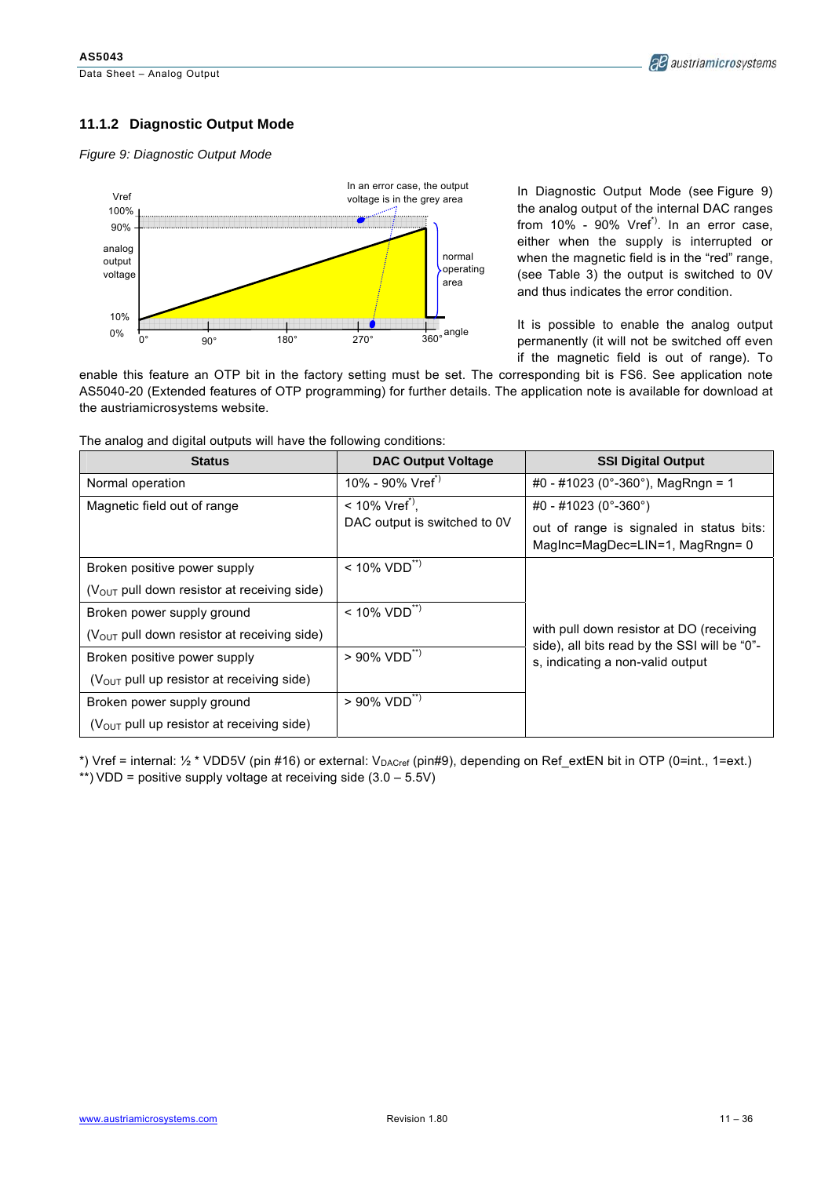### **11.1.2 Diagnostic Output Mode**

*Figure 9: Diagnostic Output Mode* 



In Diagnostic Output Mode (see Figure 9) the analog output of the internal DAC ranges from  $10\%$  -  $90\%$  Vref<sup>\*</sup>). In an error case, either when the supply is interrupted or when the magnetic field is in the "red" range, (see Table 3) the output is switched to 0V and thus indicates the error condition.

It is possible to enable the analog output permanently (it will not be switched off even if the magnetic field is out of range). To

enable this feature an OTP bit in the factory setting must be set. The corresponding bit is FS6. See application note AS5040-20 (Extended features of OTP programming) for further details. The application note is available for download at the austriamicrosystems website.

The analog and digital outputs will have the following conditions:

| <b>Status</b>                                 | <b>DAC Output Voltage</b>     | <b>SSI Digital Output</b>                                                                |
|-----------------------------------------------|-------------------------------|------------------------------------------------------------------------------------------|
| Normal operation                              | 10% - 90% $Vref^{\prime}$     | #0 - #1023 (0°-360°), MagRngn = 1                                                        |
| Magnetic field out of range                   | $< 10\%$ Vref <sup>*)</sup> . | #0 - #1023 (0°-360°)                                                                     |
|                                               | DAC output is switched to 0V  | out of range is signaled in status bits:<br>Maginc=MagDec=LIN=1, MagRngn= 0              |
| Broken positive power supply                  | $< 10\%$ VDD <sup>**</sup> )  |                                                                                          |
| $(VOUT$ pull down resistor at receiving side) |                               |                                                                                          |
| Broken power supply ground                    | $< 10\%$ VDD <sup>**)</sup>   |                                                                                          |
| $(VOUT$ pull down resistor at receiving side) |                               | with pull down resistor at DO (receiving<br>side), all bits read by the SSI will be "0"- |
| Broken positive power supply                  | $> 90\%$ VDD <sup>**)</sup>   | s, indicating a non-valid output                                                         |
| $(VOUT$ pull up resistor at receiving side)   |                               |                                                                                          |
| Broken power supply ground                    | $> 90\%$ VDD <sup>**)</sup>   |                                                                                          |
| $(VOUT$ pull up resistor at receiving side)   |                               |                                                                                          |

\*) Vref = internal:  $\frac{1}{2}$  \* VDD5V (pin #16) or external:  $V_{\text{DACref}}$  (pin#9), depending on Ref\_extEN bit in OTP (0=int., 1=ext.) \*\*) VDD = positive supply voltage at receiving side  $(3.0 - 5.5V)$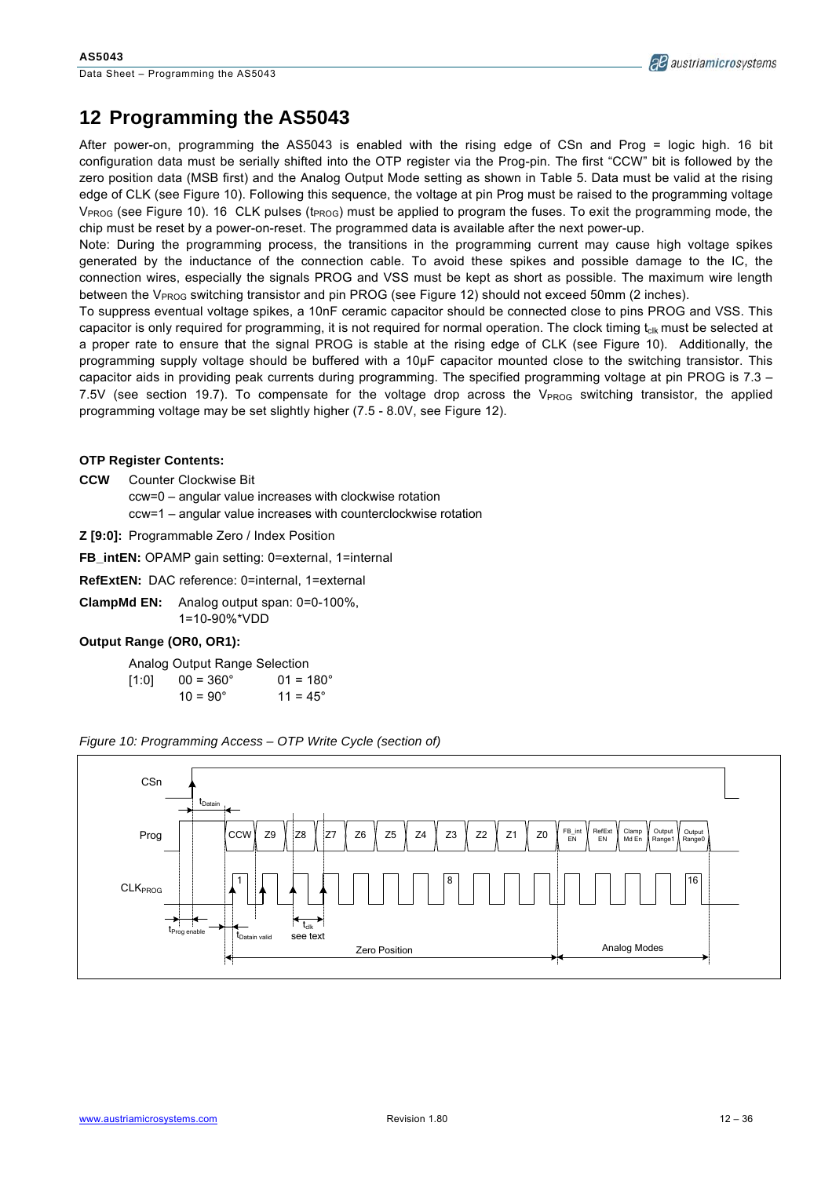

### **12 Programming the AS5043**

After power-on, programming the AS5043 is enabled with the rising edge of CSn and Prog = logic high. 16 bit configuration data must be serially shifted into the OTP register via the Prog-pin. The first "CCW" bit is followed by the zero position data (MSB first) and the Analog Output Mode setting as shown in Table 5. Data must be valid at the rising edge of CLK (see Figure 10). Following this sequence, the voltage at pin Prog must be raised to the programming voltage  $V_{PROG}$  (see Figure 10). 16 CLK pulses (t<sub>PROG</sub>) must be applied to program the fuses. To exit the programming mode, the chip must be reset by a power-on-reset. The programmed data is available after the next power-up.

Note: During the programming process, the transitions in the programming current may cause high voltage spikes generated by the inductance of the connection cable. To avoid these spikes and possible damage to the IC, the connection wires, especially the signals PROG and VSS must be kept as short as possible. The maximum wire length between the V<sub>PROG</sub> switching transistor and pin PROG (see Figure 12) should not exceed 50mm (2 inches).

To suppress eventual voltage spikes, a 10nF ceramic capacitor should be connected close to pins PROG and VSS. This capacitor is only required for programming, it is not required for normal operation. The clock timing t<sub>clk</sub> must be selected at a proper rate to ensure that the signal PROG is stable at the rising edge of CLK (see Figure 10). Additionally, the programming supply voltage should be buffered with a 10µF capacitor mounted close to the switching transistor. This capacitor aids in providing peak currents during programming. The specified programming voltage at pin PROG is 7.3 – 7.5V (see section 19.7). To compensate for the voltage drop across the  $V_{PROG}$  switching transistor, the applied programming voltage may be set slightly higher (7.5 - 8.0V, see Figure 12).

#### **OTP Register Contents:**

- **CCW** Counter Clockwise Bit ccw=0 – angular value increases with clockwise rotation ccw=1 – angular value increases with counterclockwise rotation
- **Z [9:0]:** Programmable Zero / Index Position

**FB\_intEN:** OPAMP gain setting: 0=external, 1=internal

**RefExtEN:** DAC reference: 0=internal, 1=external

**ClampMd EN:** Analog output span: 0=0-100%, 1=10-90%\*VDD

#### **Output Range (OR0, OR1):**

Analog Output Range Selection  $[1:0]$  00 = 360 $^{\circ}$  01 = 180 $^{\circ}$  $10 = 90^{\circ}$   $11 = 45^{\circ}$ 



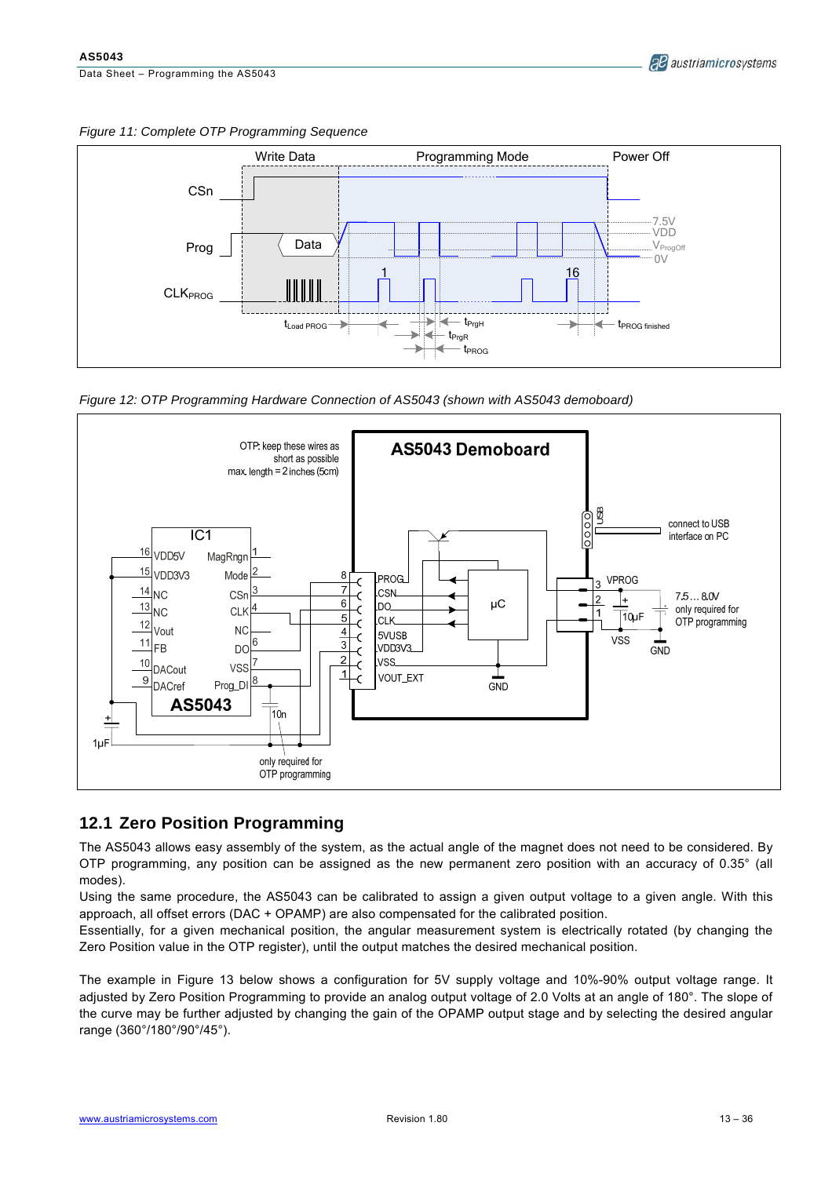*Figure 11: Complete OTP Programming Sequence* 



*Figure 12: OTP Programming Hardware Connection of AS5043 (shown with AS5043 demoboard)* 



### **12.1 Zero Position Programming**

The AS5043 allows easy assembly of the system, as the actual angle of the magnet does not need to be considered. By OTP programming, any position can be assigned as the new permanent zero position with an accuracy of 0.35° (all modes).

Using the same procedure, the AS5043 can be calibrated to assign a given output voltage to a given angle. With this approach, all offset errors (DAC + OPAMP) are also compensated for the calibrated position.

Essentially, for a given mechanical position, the angular measurement system is electrically rotated (by changing the Zero Position value in the OTP register), until the output matches the desired mechanical position.

The example in Figure 13 below shows a configuration for 5V supply voltage and 10%-90% output voltage range. It adjusted by Zero Position Programming to provide an analog output voltage of 2.0 Volts at an angle of 180°. The slope of the curve may be further adjusted by changing the gain of the OPAMP output stage and by selecting the desired angular range (360°/180°/90°/45°).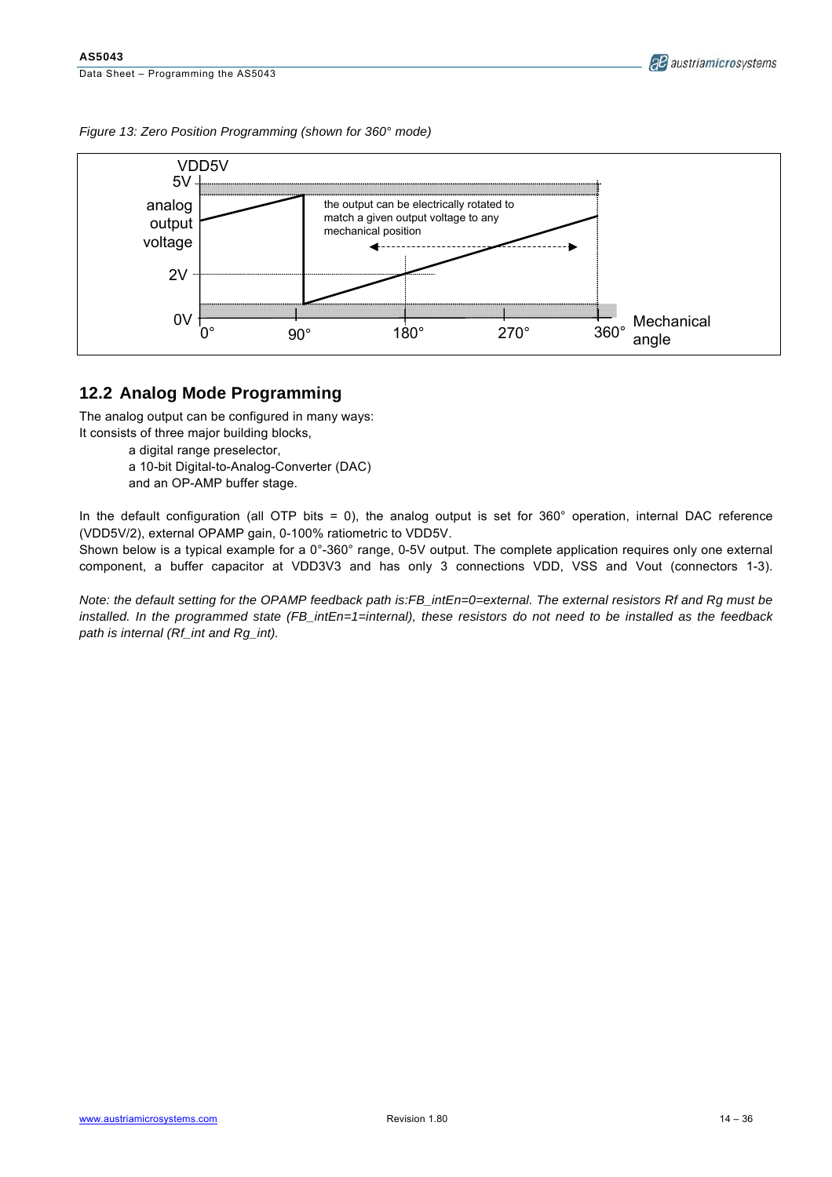*Figure 13: Zero Position Programming (shown for 360° mode)* 



### **12.2 Analog Mode Programming**

The analog output can be configured in many ways:

- It consists of three major building blocks,
	- a digital range preselector,
	- a 10-bit Digital-to-Analog-Converter (DAC)
	- and an OP-AMP buffer stage.

In the default configuration (all OTP bits = 0), the analog output is set for  $360^\circ$  operation, internal DAC reference (VDD5V/2), external OPAMP gain, 0-100% ratiometric to VDD5V.

Shown below is a typical example for a 0°-360° range, 0-5V output. The complete application requires only one external component, a buffer capacitor at VDD3V3 and has only 3 connections VDD, VSS and Vout (connectors 1-3).

*Note: the default setting for the OPAMP feedback path is:FB\_intEn=0=external. The external resistors Rf and Rg must be installed. In the programmed state (FB\_intEn=1=internal), these resistors do not need to be installed as the feedback path is internal (Rf\_int and Rg\_int).*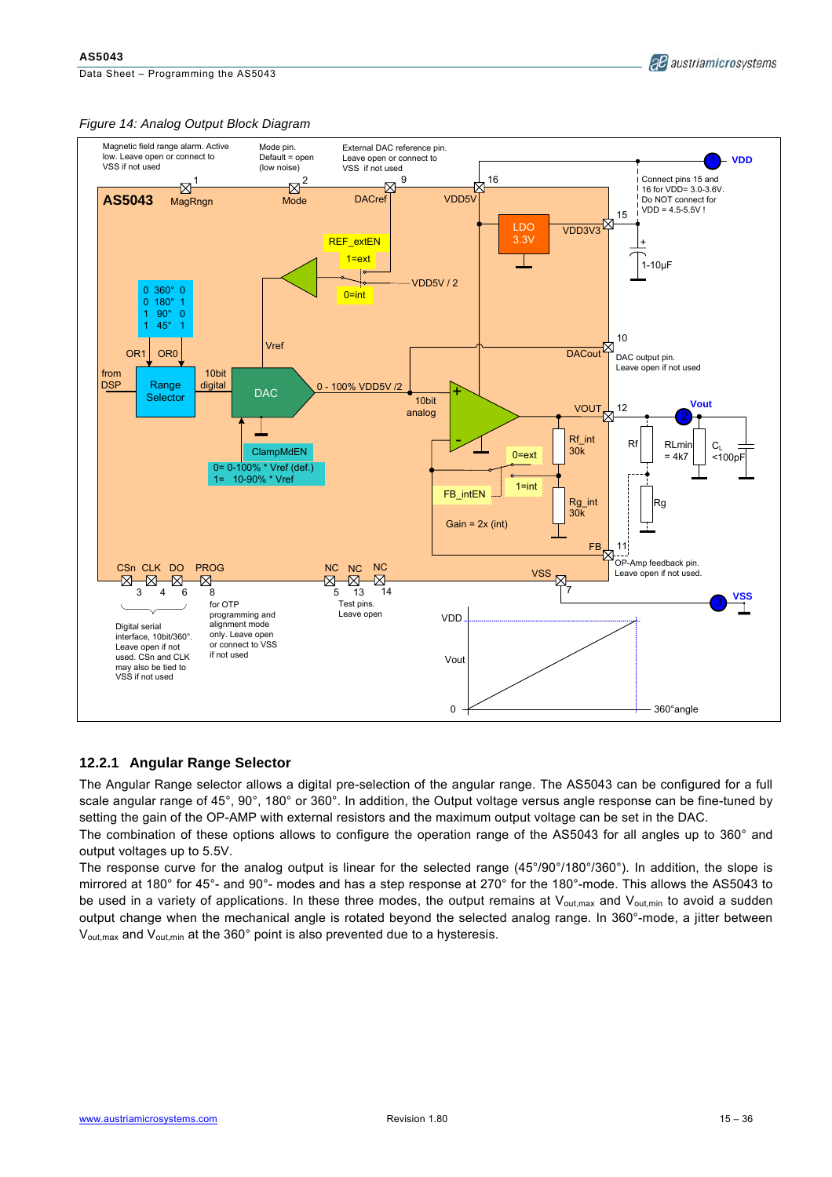Data Sheet – Programming the AS5043





#### **12.2.1 Angular Range Selector**

The Angular Range selector allows a digital pre-selection of the angular range. The AS5043 can be configured for a full scale angular range of 45°, 90°, 180° or 360°. In addition, the Output voltage versus angle response can be fine-tuned by setting the gain of the OP-AMP with external resistors and the maximum output voltage can be set in the DAC.

The combination of these options allows to configure the operation range of the AS5043 for all angles up to 360° and output voltages up to 5.5V.

The response curve for the analog output is linear for the selected range (45°/90°/180°/360°). In addition, the slope is mirrored at 180° for 45°- and 90°- modes and has a step response at 270° for the 180°-mode. This allows the AS5043 to be used in a variety of applications. In these three modes, the output remains at  $V_{\text{out,max}}$  and  $V_{\text{out,min}}$  to avoid a sudden output change when the mechanical angle is rotated beyond the selected analog range. In 360°-mode, a jitter between V<sub>out, max</sub> and V<sub>out, min</sub> at the 360° point is also prevented due to a hysteresis.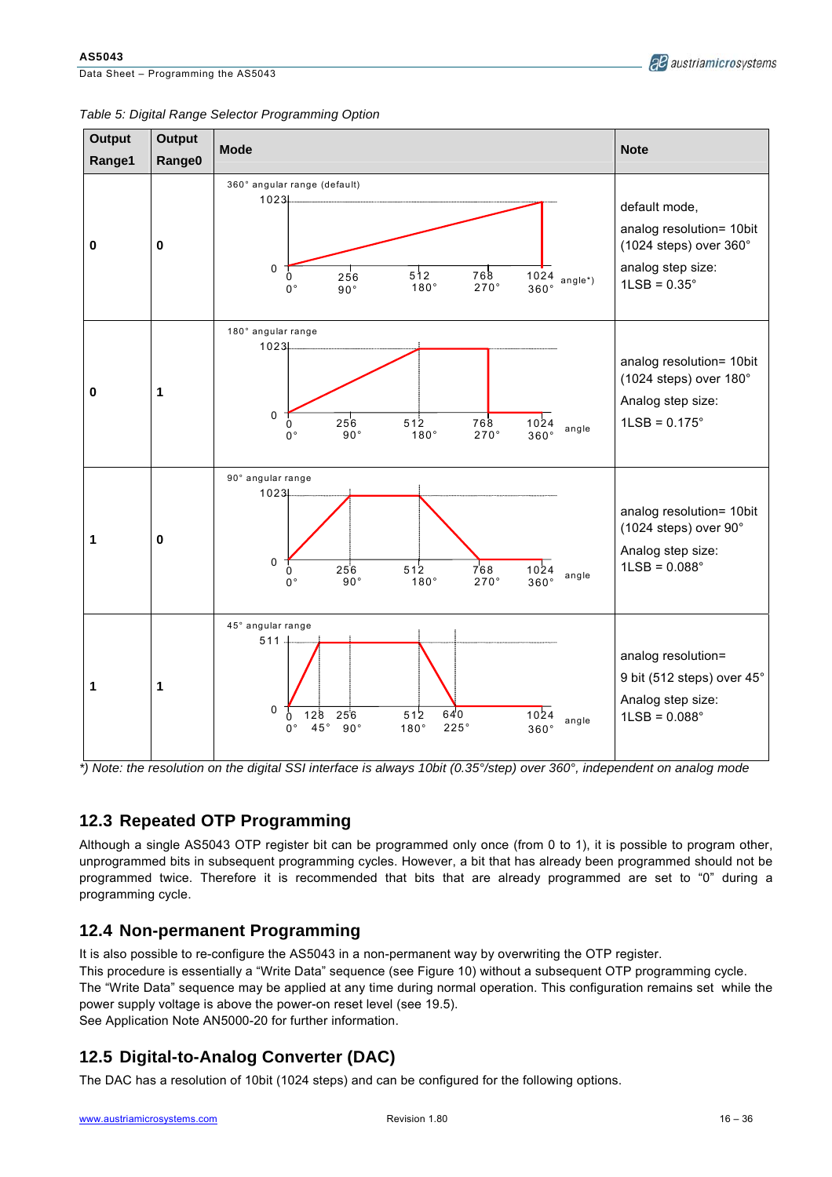Data Sheet – Programming the AS5043

**AS5043** 

#### *Table 5: Digital Range Selector Programming Option*

*\*) Note: the resolution on the digital SSI interface is always 10bit (0.35°/step) over 360°, independent on analog mode* 

# **12.3 Repeated OTP Programming**

Although a single AS5043 OTP register bit can be programmed only once (from 0 to 1), it is possible to program other, unprogrammed bits in subsequent programming cycles. However, a bit that has already been programmed should not be programmed twice. Therefore it is recommended that bits that are already programmed are set to "0" during a programming cycle.

# **12.4 Non-permanent Programming**

It is also possible to re-configure the AS5043 in a non-permanent way by overwriting the OTP register. This procedure is essentially a "Write Data" sequence (see Figure 10) without a subsequent OTP programming cycle. The "Write Data" sequence may be applied at any time during normal operation. This configuration remains set while the power supply voltage is above the power-on reset level (see 19.5). See Application Note AN5000-20 for further information.

# **12.5 Digital-to-Analog Converter (DAC)**

The DAC has a resolution of 10bit (1024 steps) and can be configured for the following options.

**AB** austriamicrosystems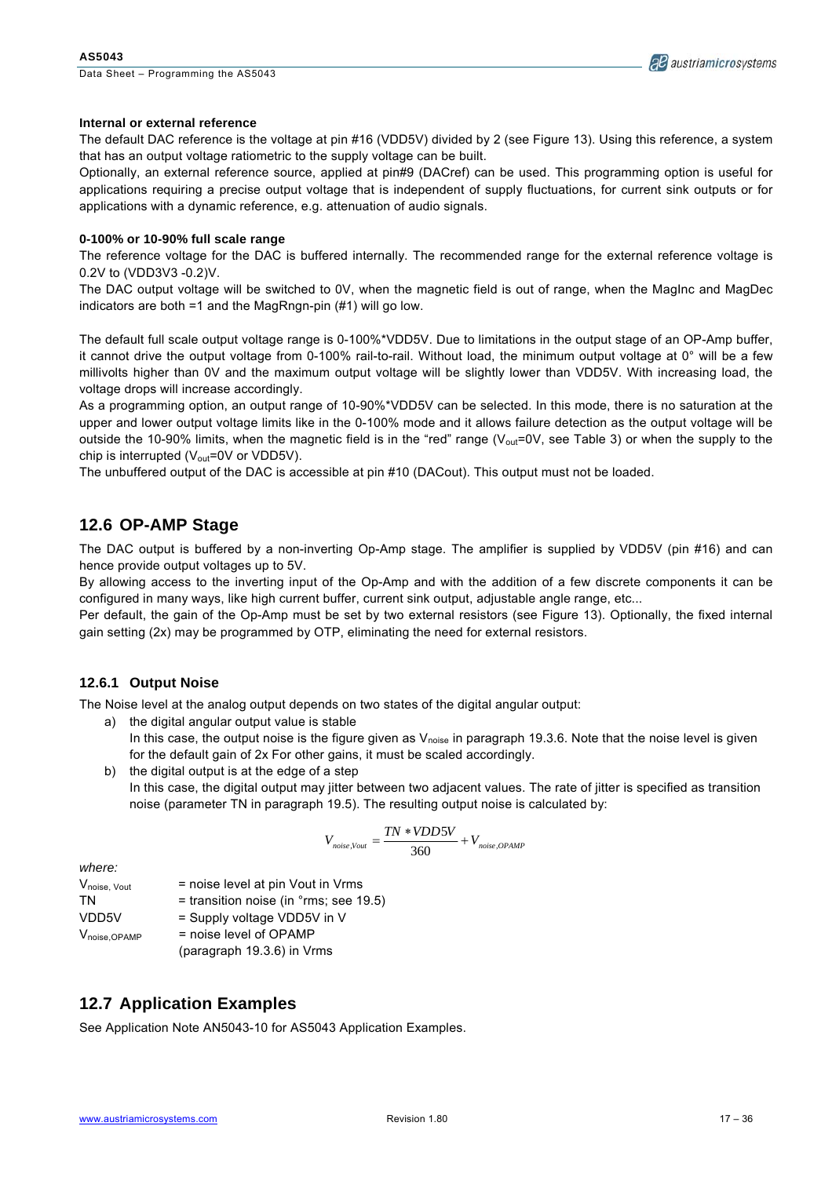

#### **Internal or external reference**

The default DAC reference is the voltage at pin #16 (VDD5V) divided by 2 (see Figure 13). Using this reference, a system that has an output voltage ratiometric to the supply voltage can be built.

Optionally, an external reference source, applied at pin#9 (DACref) can be used. This programming option is useful for applications requiring a precise output voltage that is independent of supply fluctuations, for current sink outputs or for applications with a dynamic reference, e.g. attenuation of audio signals.

#### **0-100% or 10-90% full scale range**

The reference voltage for the DAC is buffered internally. The recommended range for the external reference voltage is 0.2V to (VDD3V3 -0.2)V.

The DAC output voltage will be switched to 0V, when the magnetic field is out of range, when the MagInc and MagDec indicators are both =1 and the MagRngn-pin (#1) will go low.

The default full scale output voltage range is 0-100%\*VDD5V. Due to limitations in the output stage of an OP-Amp buffer, it cannot drive the output voltage from 0-100% rail-to-rail. Without load, the minimum output voltage at 0° will be a few millivolts higher than 0V and the maximum output voltage will be slightly lower than VDD5V. With increasing load, the voltage drops will increase accordingly.

As a programming option, an output range of 10-90%\*VDD5V can be selected. In this mode, there is no saturation at the upper and lower output voltage limits like in the 0-100% mode and it allows failure detection as the output voltage will be outside the 10-90% limits, when the magnetic field is in the "red" range ( $V_{\text{out}}$ =0V, see Table 3) or when the supply to the chip is interrupted  $(V_{\text{out}}=0V)$  or VDD5V).

The unbuffered output of the DAC is accessible at pin #10 (DACout). This output must not be loaded.

#### **12.6 OP-AMP Stage**

The DAC output is buffered by a non-inverting Op-Amp stage. The amplifier is supplied by VDD5V (pin #16) and can hence provide output voltages up to 5V.

By allowing access to the inverting input of the Op-Amp and with the addition of a few discrete components it can be configured in many ways, like high current buffer, current sink output, adjustable angle range, etc...

Per default, the gain of the Op-Amp must be set by two external resistors (see Figure 13). Optionally, the fixed internal gain setting (2x) may be programmed by OTP, eliminating the need for external resistors.

#### **12.6.1 Output Noise**

The Noise level at the analog output depends on two states of the digital angular output:

- a) the digital angular output value is stable In this case, the output noise is the figure given as  $V_{noise}$  in paragraph 19.3.6. Note that the noise level is given for the default gain of 2x For other gains, it must be scaled accordingly.
- b) the digital output is at the edge of a step In this case, the digital output may jitter between two adjacent values. The rate of jitter is specified as transition

noise (parameter TN in paragraph 19.5). The resulting output noise is calculated by:

$$
V_{noise, Vout} = \frac{TN * VDD5V}{360} + V_{noise, OPAMP}
$$

*where:* 

 $V_{noise, Vout}$  = noise level at pin Vout in Vrms

 $TN =$  transition noise (in  $\degree$ rms; see 19.5)

 $VDD5V = Supply voltage VDD5V in V$ 

 $V_{noise,OPAMP}$  = noise level of OPAMP

(paragraph 19.3.6) in Vrms

### **12.7 Application Examples**

See Application Note AN5043-10 for AS5043 Application Examples.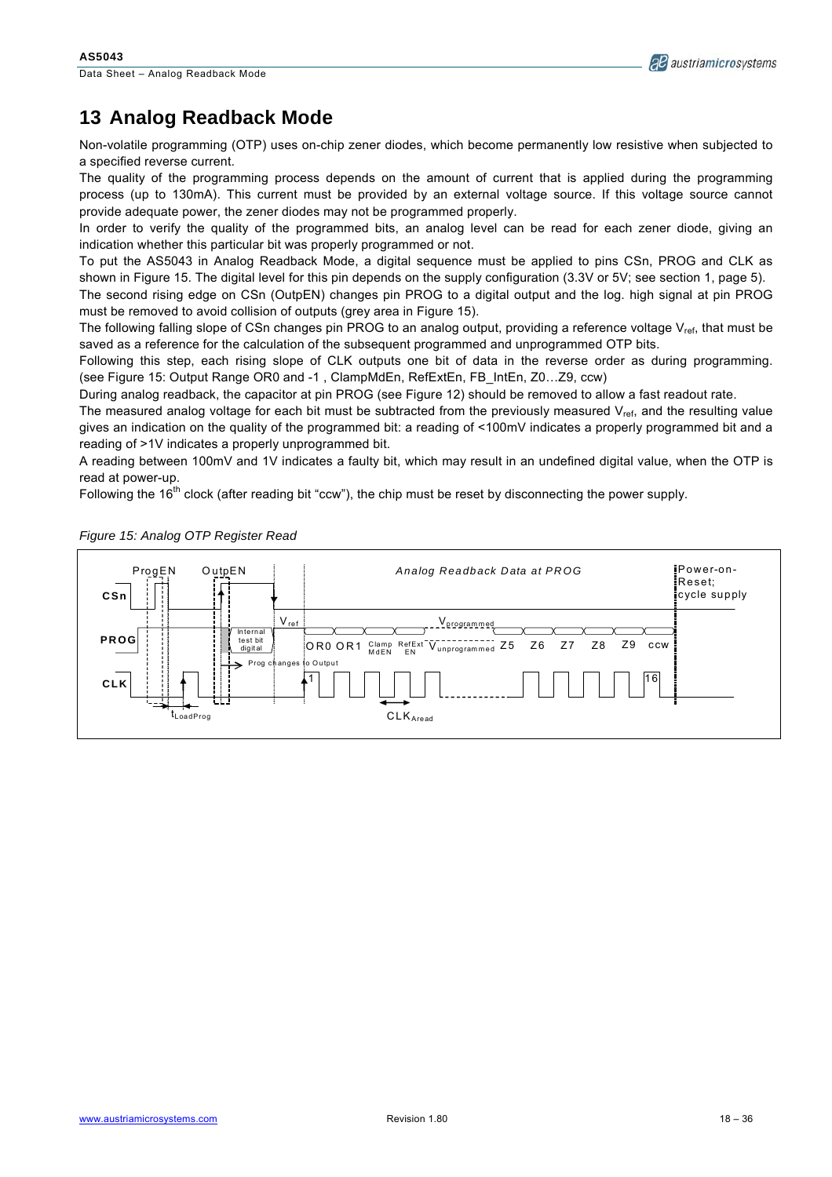

# **13 Analog Readback Mode**

Non-volatile programming (OTP) uses on-chip zener diodes, which become permanently low resistive when subjected to a specified reverse current.

The quality of the programming process depends on the amount of current that is applied during the programming process (up to 130mA). This current must be provided by an external voltage source. If this voltage source cannot provide adequate power, the zener diodes may not be programmed properly.

In order to verify the quality of the programmed bits, an analog level can be read for each zener diode, giving an indication whether this particular bit was properly programmed or not.

To put the AS5043 in Analog Readback Mode, a digital sequence must be applied to pins CSn, PROG and CLK as shown in Figure 15. The digital level for this pin depends on the supply configuration (3.3V or 5V; see section 1, page 5).

The second rising edge on CSn (OutpEN) changes pin PROG to a digital output and the log. high signal at pin PROG must be removed to avoid collision of outputs (grey area in Figure 15).

The following falling slope of CSn changes pin PROG to an analog output, providing a reference voltage  $V_{ref}$ , that must be saved as a reference for the calculation of the subsequent programmed and unprogrammed OTP bits.

Following this step, each rising slope of CLK outputs one bit of data in the reverse order as during programming. (see Figure 15: Output Range OR0 and -1 , ClampMdEn, RefExtEn, FB\_IntEn, Z0…Z9, ccw)

During analog readback, the capacitor at pin PROG (see Figure 12) should be removed to allow a fast readout rate.

The measured analog voltage for each bit must be subtracted from the previously measured  $V_{ref}$ , and the resulting value gives an indication on the quality of the programmed bit: a reading of <100mV indicates a properly programmed bit and a reading of >1V indicates a properly unprogrammed bit.

A reading between 100mV and 1V indicates a faulty bit, which may result in an undefined digital value, when the OTP is read at power-up.

Following the 16<sup>th</sup> clock (after reading bit "ccw"), the chip must be reset by disconnecting the power supply.



*Figure 15: Analog OTP Register Read*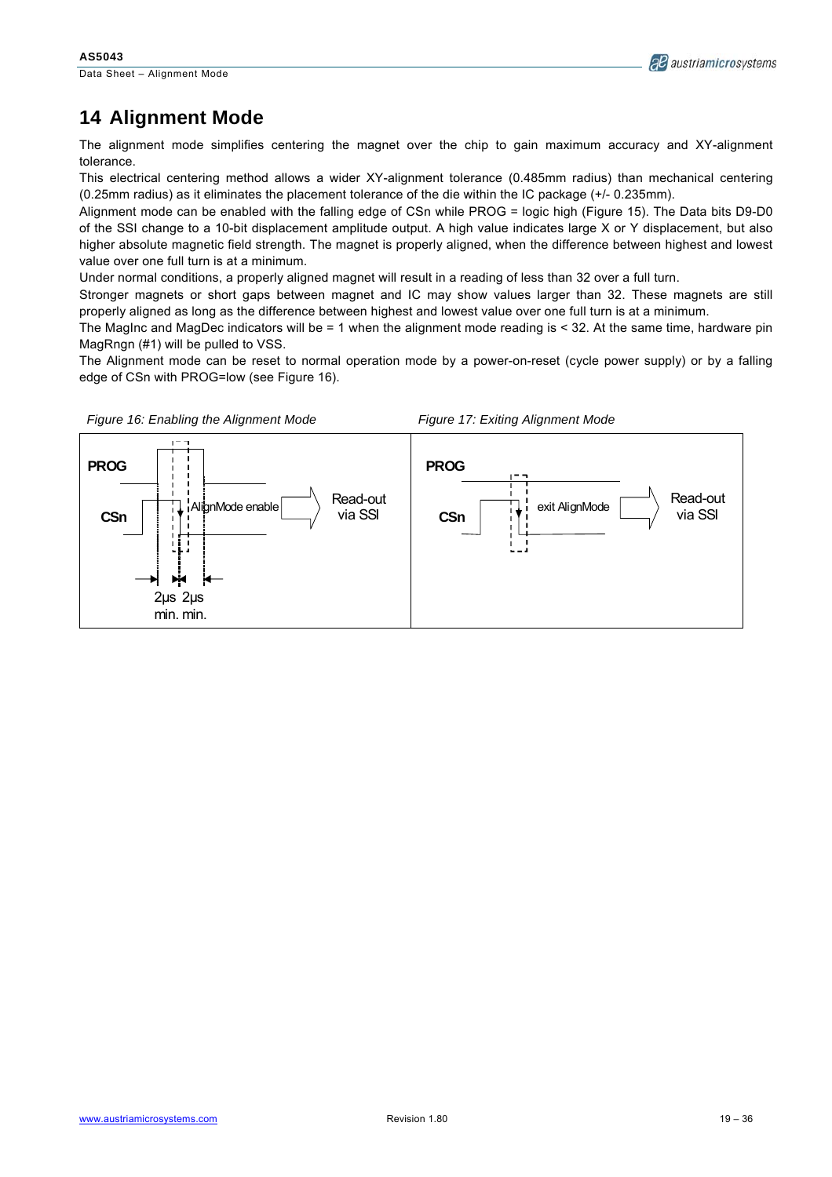Data Sheet – Alignment Mode



# **14 Alignment Mode**

The alignment mode simplifies centering the magnet over the chip to gain maximum accuracy and XY-alignment tolerance.

This electrical centering method allows a wider XY-alignment tolerance (0.485mm radius) than mechanical centering (0.25mm radius) as it eliminates the placement tolerance of the die within the IC package (+/- 0.235mm).

Alignment mode can be enabled with the falling edge of CSn while PROG = logic high (Figure 15). The Data bits D9-D0 of the SSI change to a 10-bit displacement amplitude output. A high value indicates large X or Y displacement, but also higher absolute magnetic field strength. The magnet is properly aligned, when the difference between highest and lowest value over one full turn is at a minimum.

Under normal conditions, a properly aligned magnet will result in a reading of less than 32 over a full turn.

Stronger magnets or short gaps between magnet and IC may show values larger than 32. These magnets are still properly aligned as long as the difference between highest and lowest value over one full turn is at a minimum.

The MagInc and MagDec indicators will be = 1 when the alignment mode reading is < 32. At the same time, hardware pin MagRngn (#1) will be pulled to VSS.

The Alignment mode can be reset to normal operation mode by a power-on-reset (cycle power supply) or by a falling edge of CSn with PROG=low (see Figure 16).

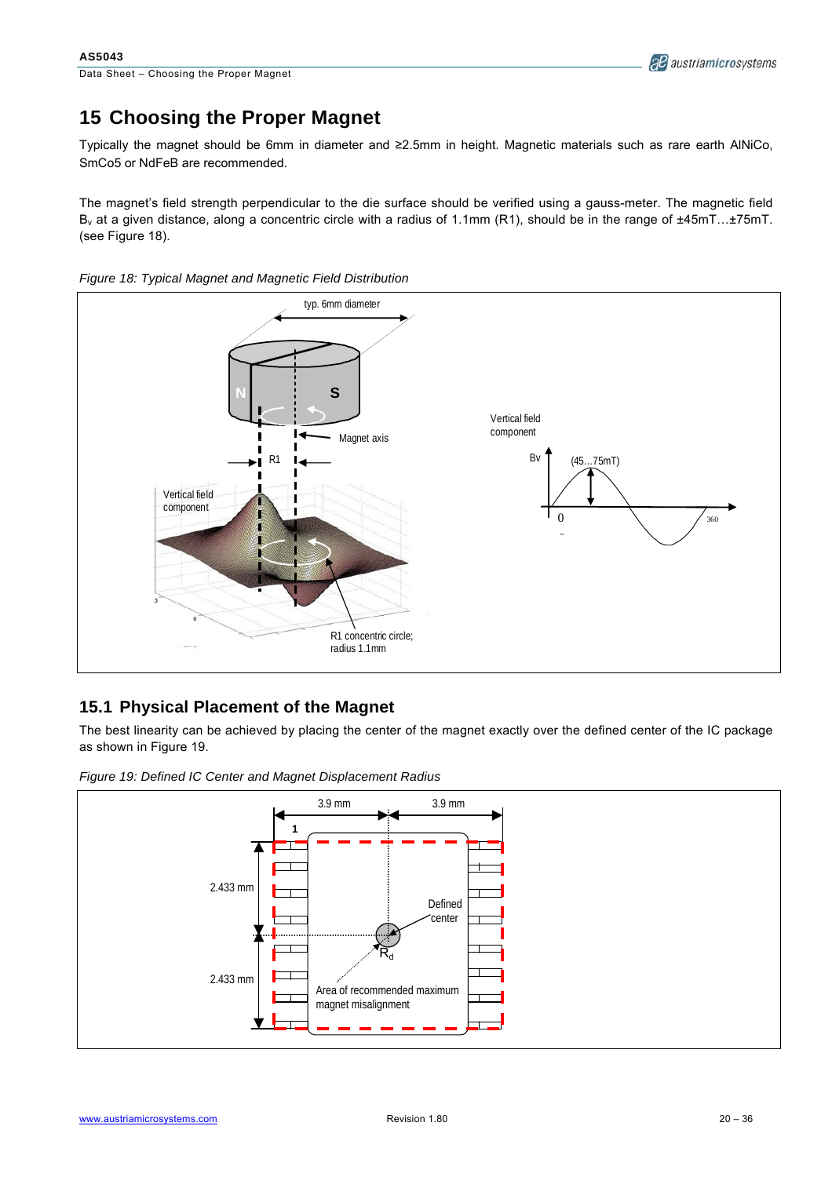# **15 Choosing the Proper Magnet**

Typically the magnet should be 6mm in diameter and ≥2.5mm in height. Magnetic materials such as rare earth AlNiCo, SmCo5 or NdFeB are recommended.

The magnet's field strength perpendicular to the die surface should be verified using a gauss-meter. The magnetic field  $B<sub>v</sub>$  at a given distance, along a concentric circle with a radius of 1.1mm (R1), should be in the range of  $\pm 45$ mT... $\pm 75$ mT. (see Figure 18).





### **15.1 Physical Placement of the Magnet**

The best linearity can be achieved by placing the center of the magnet exactly over the defined center of the IC package as shown in Figure 19.



*Figure 19: Defined IC Center and Magnet Displacement Radius*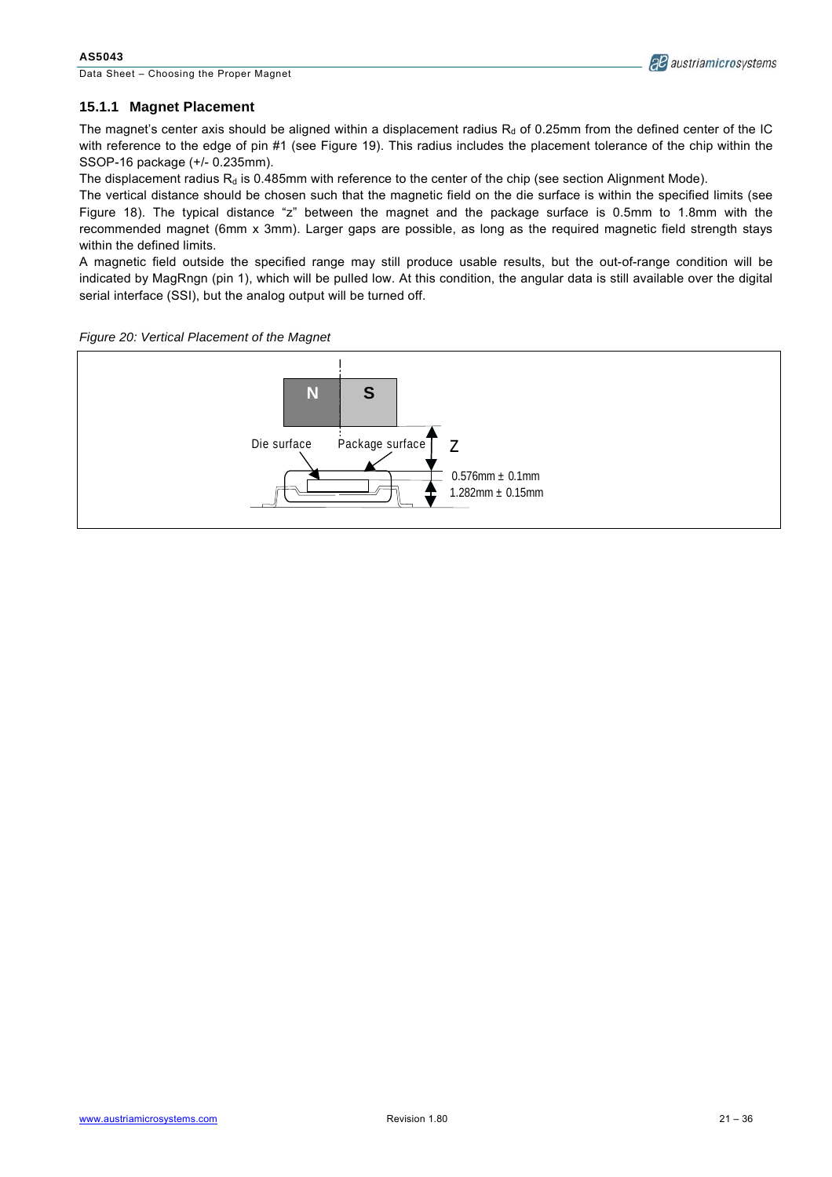Data Sheet – Choosing the Proper Magnet



#### **15.1.1 Magnet Placement**

The magnet's center axis should be aligned within a displacement radius  $R<sub>d</sub>$  of 0.25mm from the defined center of the IC with reference to the edge of pin #1 (see Figure 19). This radius includes the placement tolerance of the chip within the SSOP-16 package (+/- 0.235mm).

The displacement radius  $R_d$  is 0.485mm with reference to the center of the chip (see section Alignment Mode).

The vertical distance should be chosen such that the magnetic field on the die surface is within the specified limits (see Figure 18). The typical distance "z" between the magnet and the package surface is 0.5mm to 1.8mm with the recommended magnet (6mm x 3mm). Larger gaps are possible, as long as the required magnetic field strength stays within the defined limits.

A magnetic field outside the specified range may still produce usable results, but the out-of-range condition will be indicated by MagRngn (pin 1), which will be pulled low. At this condition, the angular data is still available over the digital serial interface (SSI), but the analog output will be turned off.



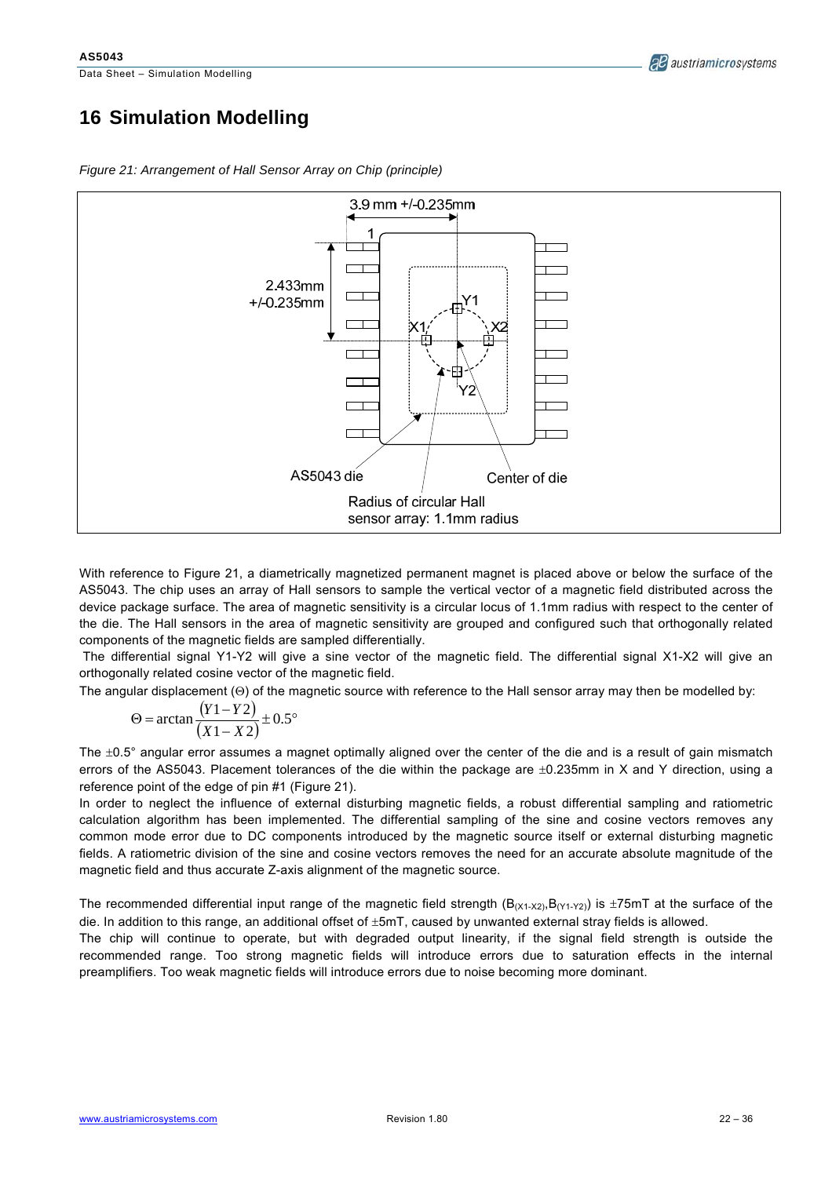# **16 Simulation Modelling**



*Figure 21: Arrangement of Hall Sensor Array on Chip (principle)* 

With reference to Figure 21, a diametrically magnetized permanent magnet is placed above or below the surface of the AS5043. The chip uses an array of Hall sensors to sample the vertical vector of a magnetic field distributed across the device package surface. The area of magnetic sensitivity is a circular locus of 1.1mm radius with respect to the center of the die. The Hall sensors in the area of magnetic sensitivity are grouped and configured such that orthogonally related components of the magnetic fields are sampled differentially.

 The differential signal Y1-Y2 will give a sine vector of the magnetic field. The differential signal X1-X2 will give an orthogonally related cosine vector of the magnetic field.

The angular displacement (Θ) of the magnetic source with reference to the Hall sensor array may then be modelled by:

$$
\Theta = \arctan\frac{(Y1 - Y2)}{(X1 - X2)} \pm 0.5^{\circ}
$$

The  $\pm 0.5^\circ$  angular error assumes a magnet optimally aligned over the center of the die and is a result of gain mismatch errors of the AS5043. Placement tolerances of the die within the package are ±0.235mm in X and Y direction, using a reference point of the edge of pin #1 (Figure 21).

In order to neglect the influence of external disturbing magnetic fields, a robust differential sampling and ratiometric calculation algorithm has been implemented. The differential sampling of the sine and cosine vectors removes any common mode error due to DC components introduced by the magnetic source itself or external disturbing magnetic fields. A ratiometric division of the sine and cosine vectors removes the need for an accurate absolute magnitude of the magnetic field and thus accurate Z-axis alignment of the magnetic source.

The recommended differential input range of the magnetic field strength  $(B_{(X1-X2)},B_{(Y1-Y2)})$  is  $\pm 75$ mT at the surface of the die. In addition to this range, an additional offset of ±5mT, caused by unwanted external stray fields is allowed.

The chip will continue to operate, but with degraded output linearity, if the signal field strength is outside the recommended range. Too strong magnetic fields will introduce errors due to saturation effects in the internal preamplifiers. Too weak magnetic fields will introduce errors due to noise becoming more dominant.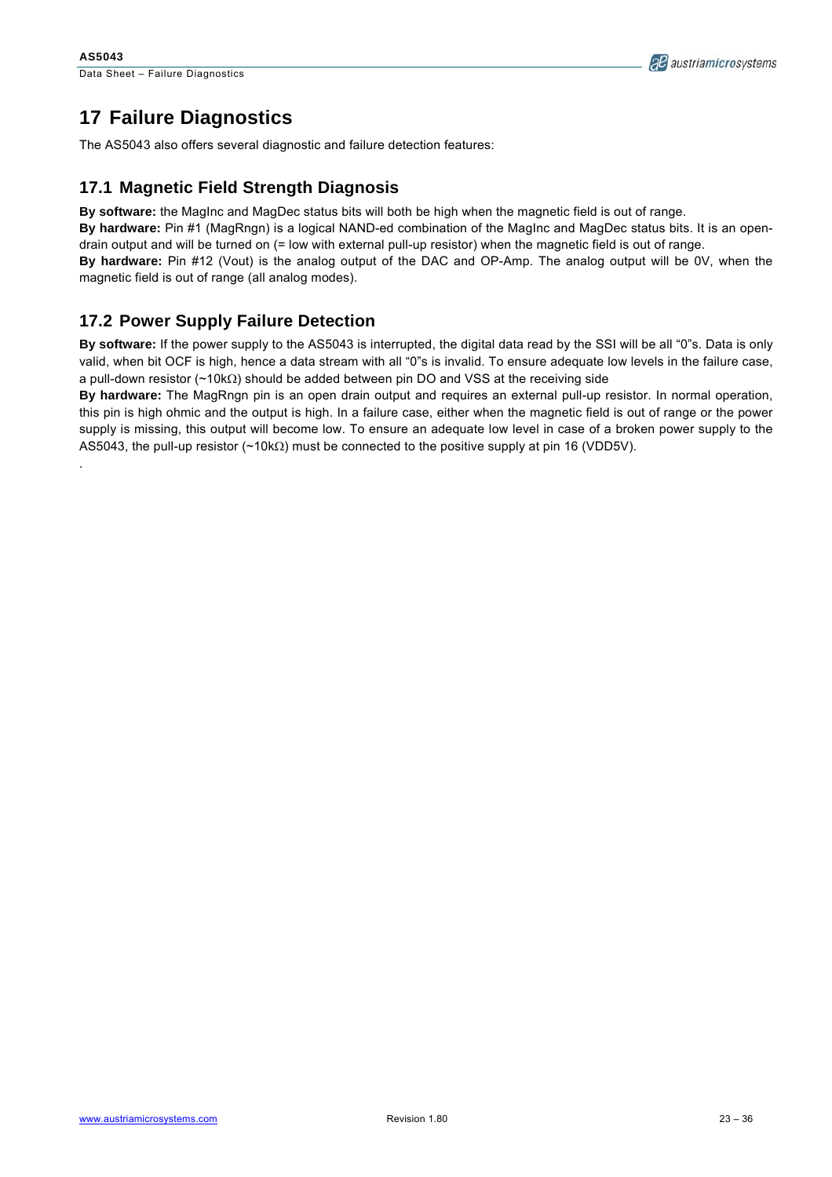.



# **17 Failure Diagnostics**

The AS5043 also offers several diagnostic and failure detection features:

### **17.1 Magnetic Field Strength Diagnosis**

**By software:** the MagInc and MagDec status bits will both be high when the magnetic field is out of range.

**By hardware:** Pin #1 (MagRngn) is a logical NAND-ed combination of the MagInc and MagDec status bits. It is an opendrain output and will be turned on (= low with external pull-up resistor) when the magnetic field is out of range.

**By hardware:** Pin #12 (Vout) is the analog output of the DAC and OP-Amp. The analog output will be 0V, when the magnetic field is out of range (all analog modes).

### **17.2 Power Supply Failure Detection**

**By software:** If the power supply to the AS5043 is interrupted, the digital data read by the SSI will be all "0"s. Data is only valid, when bit OCF is high, hence a data stream with all "0"s is invalid. To ensure adequate low levels in the failure case, a pull-down resistor (~10kΩ) should be added between pin DO and VSS at the receiving side

**By hardware:** The MagRngn pin is an open drain output and requires an external pull-up resistor. In normal operation, this pin is high ohmic and the output is high. In a failure case, either when the magnetic field is out of range or the power supply is missing, this output will become low. To ensure an adequate low level in case of a broken power supply to the AS5043, the pull-up resistor (~10kΩ) must be connected to the positive supply at pin 16 (VDD5V).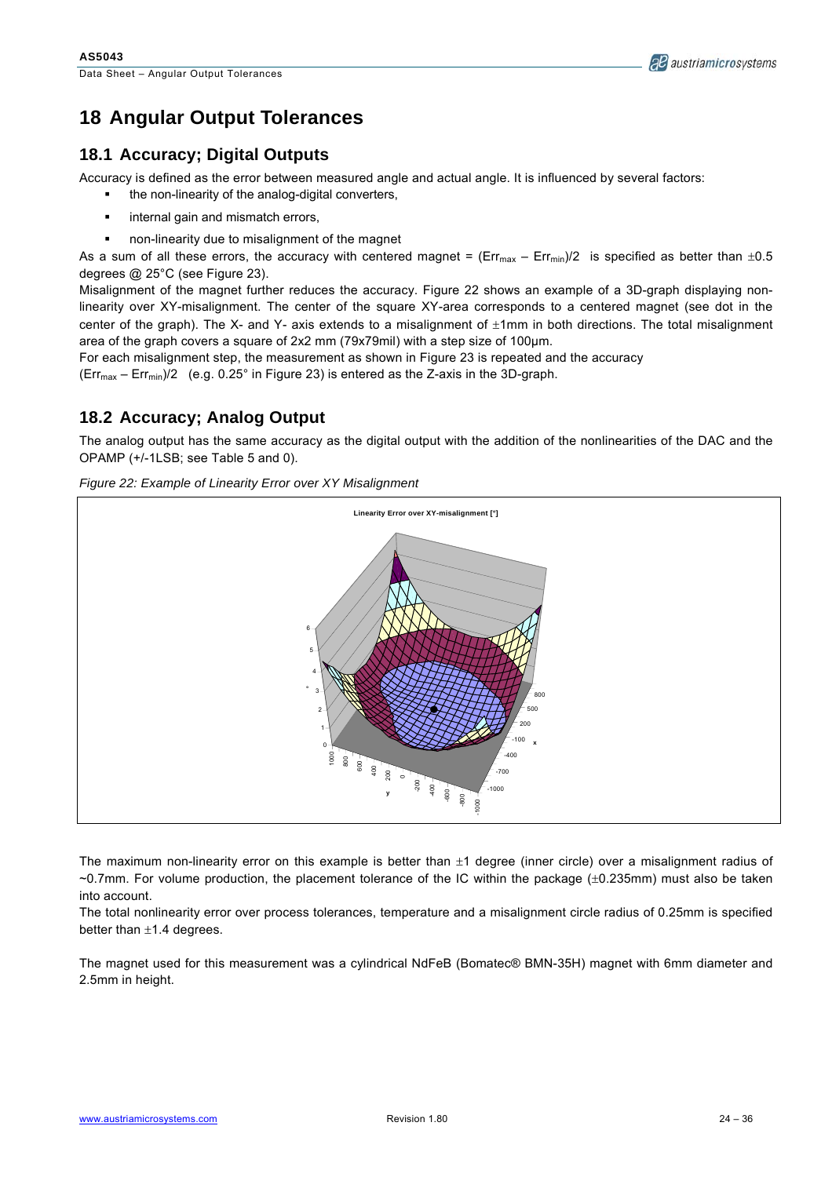

# **18 Angular Output Tolerances**

### **18.1 Accuracy; Digital Outputs**

Accuracy is defined as the error between measured angle and actual angle. It is influenced by several factors:

- the non-linearity of the analog-digital converters,
- internal gain and mismatch errors,
- non-linearity due to misalignment of the magnet

As a sum of all these errors, the accuracy with centered magnet = ( $Err_{max}$  –  $Err_{min}$ )/2 is specified as better than  $\pm 0.5$ degrees @ 25°C (see Figure 23).

Misalignment of the magnet further reduces the accuracy. Figure 22 shows an example of a 3D-graph displaying nonlinearity over XY-misalignment. The center of the square XY-area corresponds to a centered magnet (see dot in the center of the graph). The X- and Y- axis extends to a misalignment of  $\pm 1$ mm in both directions. The total misalignment area of the graph covers a square of 2x2 mm (79x79mil) with a step size of 100µm.

For each misalignment step, the measurement as shown in Figure 23 is repeated and the accuracy  $(Err_{max} - Err_{min})/2$  (e.g. 0.25° in Figure 23) is entered as the Z-axis in the 3D-graph.

**18.2 Accuracy; Analog Output** 

The analog output has the same accuracy as the digital output with the addition of the nonlinearities of the DAC and the OPAMP (+/-1LSB; see Table 5 and 0).

*Figure 22: Example of Linearity Error over XY Misalignment* 



The maximum non-linearity error on this example is better than  $\pm 1$  degree (inner circle) over a misalignment radius of ~0.7mm. For volume production, the placement tolerance of the IC within the package (±0.235mm) must also be taken into account.

The total nonlinearity error over process tolerances, temperature and a misalignment circle radius of 0.25mm is specified better than  $\pm 1.4$  degrees.

The magnet used for this measurement was a cylindrical NdFeB (Bomatec® BMN-35H) magnet with 6mm diameter and 2.5mm in height.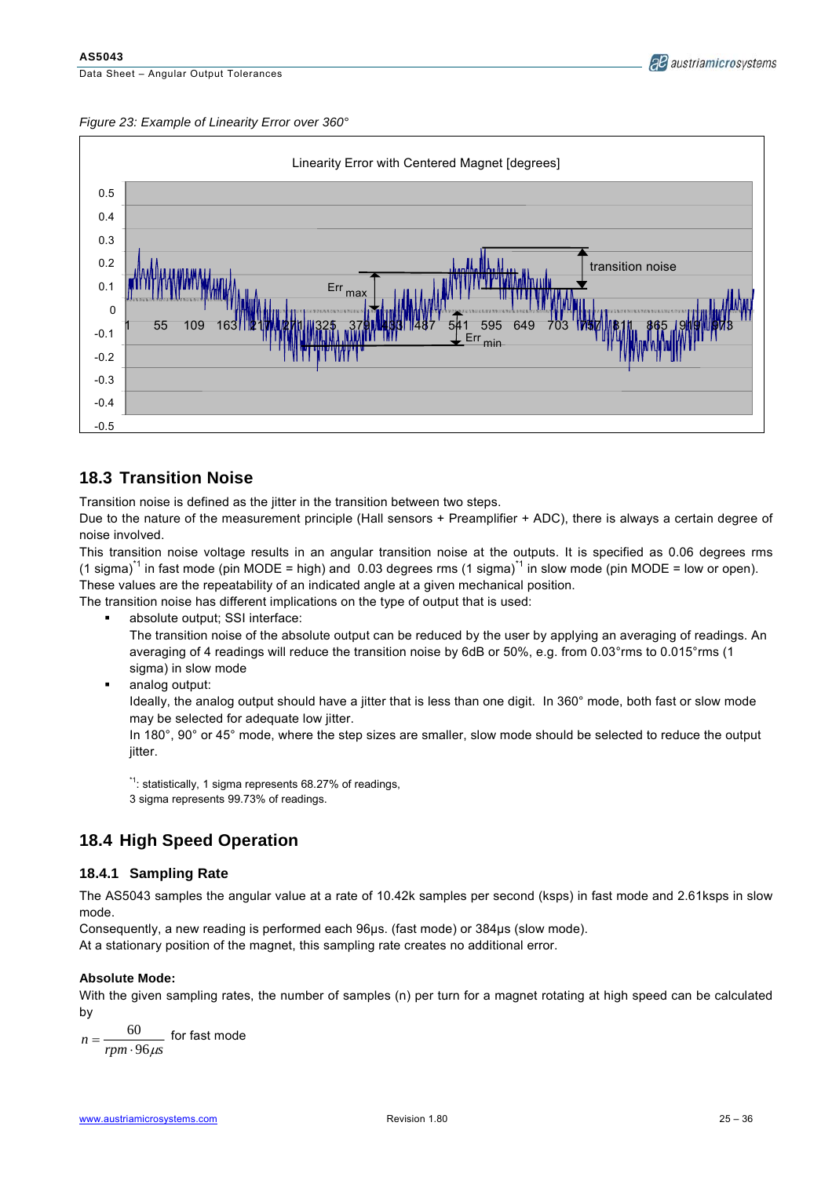



### **18.3 Transition Noise**

Transition noise is defined as the jitter in the transition between two steps.

Due to the nature of the measurement principle (Hall sensors + Preamplifier + ADC), there is always a certain degree of noise involved.

This transition noise voltage results in an angular transition noise at the outputs. It is specified as 0.06 degrees rms  $(1 \text{ sigma})^1$  in fast mode (pin MODE = high) and 0.03 degrees rms  $(1 \text{ sigma})^1$  in slow mode (pin MODE = low or open). These values are the repeatability of an indicated angle at a given mechanical position.

The transition noise has different implications on the type of output that is used:

absolute output; SSI interface:

The transition noise of the absolute output can be reduced by the user by applying an averaging of readings. An averaging of 4 readings will reduce the transition noise by 6dB or 50%, e.g. from 0.03°rms to 0.015°rms (1 sigma) in slow mode

**analog output:** 

Ideally, the analog output should have a jitter that is less than one digit. In 360° mode, both fast or slow mode may be selected for adequate low jitter.

In 180°, 90° or 45° mode, where the step sizes are smaller, slow mode should be selected to reduce the output jitter.

<sup>\*1</sup>: statistically, 1 sigma represents 68.27% of readings, 3 sigma represents 99.73% of readings.

### **18.4 High Speed Operation**

#### **18.4.1 Sampling Rate**

The AS5043 samples the angular value at a rate of 10.42k samples per second (ksps) in fast mode and 2.61ksps in slow mode.

Consequently, a new reading is performed each 96µs. (fast mode) or 384µs (slow mode).

At a stationary position of the magnet, this sampling rate creates no additional error.

#### **Absolute Mode:**

With the given sampling rates, the number of samples (n) per turn for a magnet rotating at high speed can be calculated by

*rpm* · 96 μs *n* 60 tor fast mode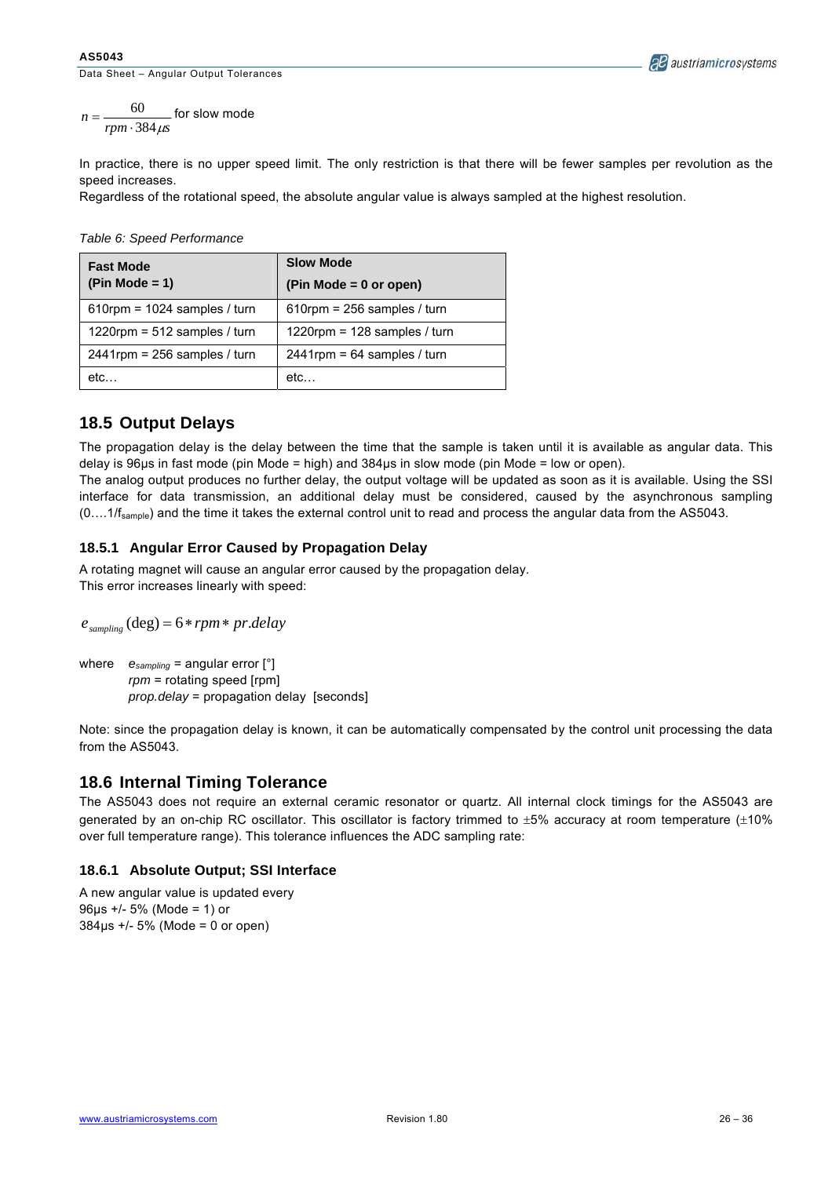#### **AS5043**

Data Sheet – Angular Output Tolerances



 $n = \frac{60}{rpm \cdot 384 \mu s}$  $=\frac{60}{rpm \cdot 384 \mu s}$  for slow mode

In practice, there is no upper speed limit. The only restriction is that there will be fewer samples per revolution as the speed increases.

Regardless of the rotational speed, the absolute angular value is always sampled at the highest resolution.

|  | Table 6: Speed Performance |
|--|----------------------------|
|  |                            |

| <b>Fast Mode</b>                | <b>Slow Mode</b>               |  |  |  |  |
|---------------------------------|--------------------------------|--|--|--|--|
| $(Pin Mode = 1)$                | $(Pin Mode = 0 or open)$       |  |  |  |  |
| 610rpm = $1024$ samples / turn  | $610$ rpm = 256 samples / turn |  |  |  |  |
| 1220rpm = $512$ samples / turn  | 1220rpm = 128 samples / turn   |  |  |  |  |
| $2441$ rpm = 256 samples / turn | $2441$ rpm = 64 samples / turn |  |  |  |  |
| etc                             | etc                            |  |  |  |  |

### **18.5 Output Delays**

The propagation delay is the delay between the time that the sample is taken until it is available as angular data. This delay is 96µs in fast mode (pin Mode = high) and 384µs in slow mode (pin Mode = low or open).

The analog output produces no further delay, the output voltage will be updated as soon as it is available. Using the SSI interface for data transmission, an additional delay must be considered, caused by the asynchronous sampling  $(0...1/f_{sample})$  and the time it takes the external control unit to read and process the angular data from the AS5043.

#### **18.5.1 Angular Error Caused by Propagation Delay**

A rotating magnet will cause an angular error caused by the propagation delay. This error increases linearly with speed:

 $e_{\text{sampling}}$  (deg) = 6 \* *rpm* \* *pr.delay* 

where  $e_{sampling}$  = angular error [°] *rpm* = rotating speed [rpm] *prop.delay* = propagation delay [seconds]

Note: since the propagation delay is known, it can be automatically compensated by the control unit processing the data from the AS5043.

### **18.6 Internal Timing Tolerance**

The AS5043 does not require an external ceramic resonator or quartz. All internal clock timings for the AS5043 are generated by an on-chip RC oscillator. This oscillator is factory trimmed to ±5% accuracy at room temperature (±10% over full temperature range). This tolerance influences the ADC sampling rate:

#### **18.6.1 Absolute Output; SSI Interface**

A new angular value is updated every 96µs +/- 5% (Mode = 1) or  $384\mu s$  +/- 5% (Mode = 0 or open)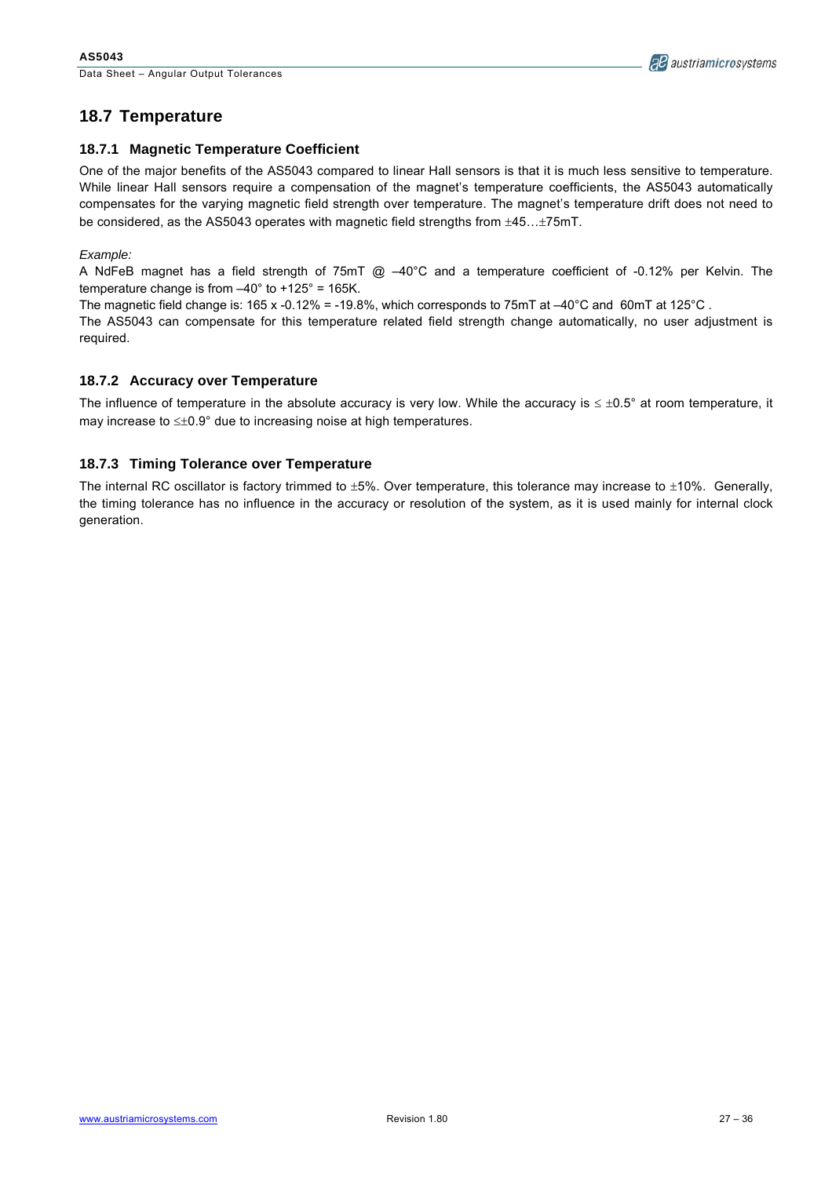

### **18.7 Temperature**

#### **18.7.1 Magnetic Temperature Coefficient**

One of the major benefits of the AS5043 compared to linear Hall sensors is that it is much less sensitive to temperature. While linear Hall sensors require a compensation of the magnet's temperature coefficients, the AS5043 automatically compensates for the varying magnetic field strength over temperature. The magnet's temperature drift does not need to be considered, as the AS5043 operates with magnetic field strengths from ±45…±75mT.

*Example:*

A NdFeB magnet has a field strength of 75mT @ –40°C and a temperature coefficient of -0.12% per Kelvin. The temperature change is from  $-40^{\circ}$  to  $+125^{\circ}$  = 165K.

The magnetic field change is: 165 x -0.12% = -19.8%, which corresponds to 75mT at -40°C and 60mT at 125°C.

The AS5043 can compensate for this temperature related field strength change automatically, no user adjustment is required.

#### **18.7.2 Accuracy over Temperature**

The influence of temperature in the absolute accuracy is very low. While the accuracy is  $\leq \pm 0.5^{\circ}$  at room temperature, it may increase to ≤±0.9° due to increasing noise at high temperatures.

#### **18.7.3 Timing Tolerance over Temperature**

The internal RC oscillator is factory trimmed to  $\pm 5\%$ . Over temperature, this tolerance may increase to  $\pm 10\%$ . Generally, the timing tolerance has no influence in the accuracy or resolution of the system, as it is used mainly for internal clock generation.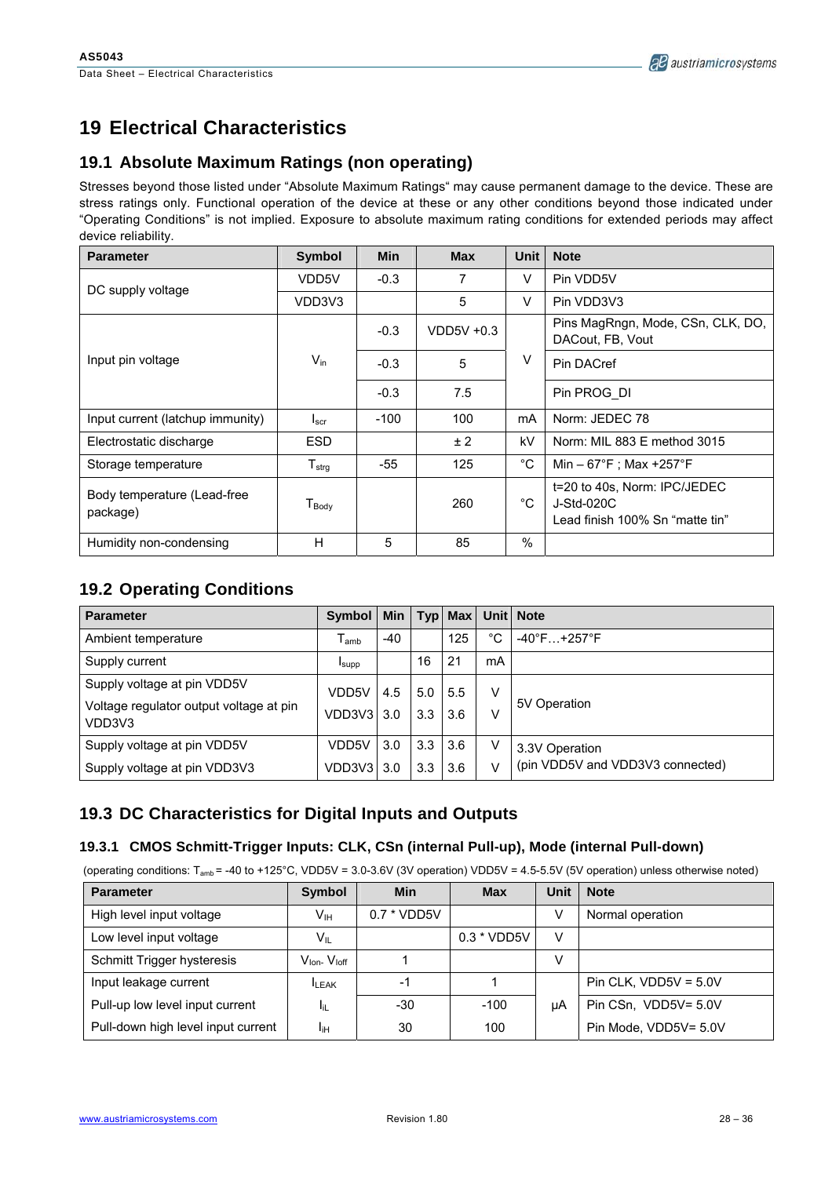# **19 Electrical Characteristics**

### **19.1 Absolute Maximum Ratings (non operating)**

Stresses beyond those listed under "Absolute Maximum Ratings" may cause permanent damage to the device. These are stress ratings only. Functional operation of the device at these or any other conditions beyond those indicated under "Operating Conditions" is not implied. Exposure to absolute maximum rating conditions for extended periods may affect device reliability.

| <b>Parameter</b>                        | <b>Symbol</b>       | <b>Min</b> | <b>Max</b>   | <b>Unit</b> | <b>Note</b>                                                                   |
|-----------------------------------------|---------------------|------------|--------------|-------------|-------------------------------------------------------------------------------|
| DC supply voltage                       | VDD5V               | $-0.3$     | 7            | V           | Pin VDD5V                                                                     |
|                                         | VDD3V3              |            | 5            | V           | Pin VDD3V3                                                                    |
|                                         |                     | $-0.3$     | $VDD5V +0.3$ | V           | Pins MagRngn, Mode, CSn, CLK, DO,<br>DACout, FB, Vout                         |
| Input pin voltage                       | $V_{\text{in}}$     | $-0.3$     | 5            |             | Pin DACref                                                                    |
|                                         |                     | $-0.3$     | 7.5          |             | Pin PROG DI                                                                   |
| Input current (latchup immunity)        | I <sub>scr</sub>    | $-100$     | 100          | mA          | Norm: JEDEC 78                                                                |
| Electrostatic discharge                 | <b>ESD</b>          |            | ±2           | kV          | Norm: MIL 883 E method 3015                                                   |
| Storage temperature                     | $T_{\sf strg}$      | -55        | 125          | °C          | Min – 67°F ; Max +257°F                                                       |
| Body temperature (Lead-free<br>package) | $T_{\mathsf{Body}}$ |            | 260          | °C          | t=20 to 40s, Norm: IPC/JEDEC<br>J-Std-020C<br>Lead finish 100% Sn "matte tin" |
| Humidity non-condensing                 | H                   | 5          | 85           | $\%$        |                                                                               |

### **19.2 Operating Conditions**

| <b>Parameter</b>                                  | <b>Symbol</b>               | <b>Min</b> |                  |     |              | Typ Max Unit Note                 |
|---------------------------------------------------|-----------------------------|------------|------------------|-----|--------------|-----------------------------------|
| Ambient temperature                               | $\mathsf{T}_{\mathsf{amb}}$ | $-40$      |                  | 125 | $^{\circ}$ C | $-40^{\circ}$ F +257 $^{\circ}$ F |
| Supply current                                    | <b>I</b> supp               |            | 16               | 21  | mA           |                                   |
| Supply voltage at pin VDD5V                       | VDD5V                       | 4.5        | 5.0              | 5.5 | V            |                                   |
| Voltage regulator output voltage at pin<br>VDD3V3 | VDD3V3                      | 3.0        | 3.3              | 3.6 | v            | 5V Operation                      |
| Supply voltage at pin VDD5V                       | VDD5V                       | 3.0        | 3.3              | 3.6 | V            | 3.3V Operation                    |
| Supply voltage at pin VDD3V3                      | VDD3V3                      | 3.0        | 3.3 <sub>2</sub> | 3.6 | V            | (pin VDD5V and VDD3V3 connected)  |

### **19.3 DC Characteristics for Digital Inputs and Outputs**

### **19.3.1 CMOS Schmitt-Trigger Inputs: CLK, CSn (internal Pull-up), Mode (internal Pull-down)**

(operating conditions:  $T_{amb} = -40$  to +125°C, VDD5V = 3.0-3.6V (3V operation) VDD5V = 4.5-5.5V (5V operation) unless otherwise noted)

| <b>Parameter</b>                   | <b>Symbol</b>                      | <b>Min</b>    | <b>Max</b>    | Unit | <b>Note</b>             |
|------------------------------------|------------------------------------|---------------|---------------|------|-------------------------|
| High level input voltage           | Vıн                                | $0.7 * VDD5V$ |               |      | Normal operation        |
| Low level input voltage            | $\mathsf{V}_{\mathsf{IL}}$         |               | $0.3 * VDD5V$ | v    |                         |
| Schmitt Trigger hysteresis         | $V_{\text{lon}}$ $V_{\text{loff}}$ |               |               |      |                         |
| Input leakage current              | <b>LEAK</b>                        | $-1$          |               |      | Pin CLK, $VDD5V = 5.0V$ |
| Pull-up low level input current    | -lit                               | $-30$         | $-100$        | μA   | Pin CSn, VDD5V= 5.0V    |
| Pull-down high level input current | Iін                                | 30            | 100           |      | Pin Mode, VDD5V= 5.0V   |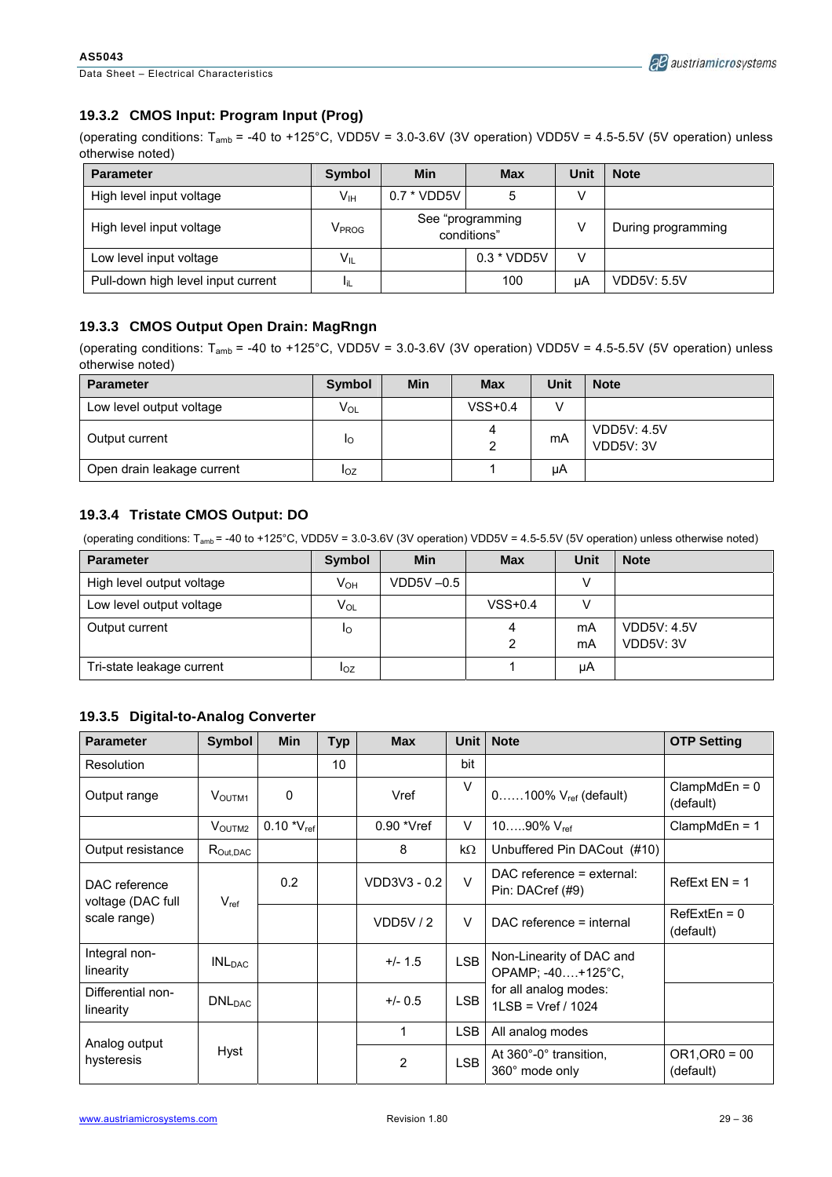Data Sheet – Electrical Characteristics

### **19.3.2 CMOS Input: Program Input (Prog)**

(operating conditions:  $T_{amb}$  = -40 to +125°C, VDD5V = 3.0-3.6V (3V operation) VDD5V = 4.5-5.5V (5V operation) unless otherwise noted)

| <b>Parameter</b>                   | <b>Symbol</b>     | Min           | <b>Max</b>                      | Unit | <b>Note</b>        |
|------------------------------------|-------------------|---------------|---------------------------------|------|--------------------|
| High level input voltage           | V <sub>IH</sub>   | $0.7 * VDD5V$ | 5                               | v    |                    |
| High level input voltage           | V <sub>PROG</sub> |               | See "programming<br>conditions" |      | During programming |
| Low level input voltage            | $V_{IL}$          | $0.3 * VDD5V$ |                                 | V    |                    |
| Pull-down high level input current | ЧL                |               | 100                             | μA   | VDD5V: 5.5V        |

#### **19.3.3 CMOS Output Open Drain: MagRngn**

(operating conditions:  $T_{amb}$  = -40 to +125°C, VDD5V = 3.0-3.6V (3V operation) VDD5V = 4.5-5.5V (5V operation) unless otherwise noted)

| <b>Parameter</b>           | <b>Symbol</b> | Min | <b>Max</b> | <b>Unit</b> | <b>Note</b>                     |
|----------------------------|---------------|-----|------------|-------------|---------------------------------|
| Low level output voltage   | VOL           |     | $VSS+0.4$  |             |                                 |
| Output current             | Ιo            |     | 4          | mA          | <b>VDD5V: 4.5V</b><br>VDD5V: 3V |
| Open drain leakage current | loz           |     |            | μA          |                                 |

#### **19.3.4 Tristate CMOS Output: DO**

(operating conditions: Tamb = -40 to +125°C, VDD5V = 3.0-3.6V (3V operation) VDD5V = 4.5-5.5V (5V operation) unless otherwise noted)

| <b>Parameter</b>          | <b>Symbol</b> | Min          | <b>Max</b> | Unit | <b>Note</b>        |
|---------------------------|---------------|--------------|------------|------|--------------------|
| High level output voltage | $V_{OH}$      | $VDD5V -0.5$ |            |      |                    |
| Low level output voltage  | $V_{OL}$      |              | $VSS+0.4$  |      |                    |
| Output current            | ΙO            |              | 4          | mA   | <b>VDD5V: 4.5V</b> |
|                           |               |              |            | mA   | VDD5V: 3V          |
| Tri-state leakage current | $I_{OZ}$      |              |            | μA   |                    |

#### **19.3.5 Digital-to-Analog Converter**

| <b>Parameter</b>                   | Symbol                                   | <b>Min</b>      | <b>Typ</b> | <b>Max</b>   | Unit       | <b>Note</b>                                     | <b>OTP Setting</b>           |
|------------------------------------|------------------------------------------|-----------------|------------|--------------|------------|-------------------------------------------------|------------------------------|
| Resolution                         |                                          |                 | 10         |              | bit        |                                                 |                              |
| Output range                       | <b>VOUTM1</b>                            | 0               |            | Vref         | V          | $0$ 100% $V_{ref}$ (default)                    | $ClampMdEn = 0$<br>(default) |
|                                    | VOUTM <sub>2</sub>                       | $0.10 *V_{ref}$ |            | $0.90$ *Vref | $\vee$     | 1090% $V_{ref}$                                 | $ClampMdEn = 1$              |
| Output resistance                  | $\mathsf{R}_{\mathsf{Out},\mathsf{DAC}}$ |                 |            | 8            | $k\Omega$  | Unbuffered Pin DACout (#10)                     |                              |
| DAC reference<br>voltage (DAC full | $V_{ref}$                                | 0.2             |            | VDD3V3 - 0.2 | $\vee$     | $DAC$ reference = external:<br>Pin: DACref (#9) | $RefExt EN = 1$              |
| scale range)                       |                                          |                 |            | VDD5V/2      | $\vee$     | DAC reference = internal                        | $RefExtEn = 0$<br>(default)  |
| Integral non-<br>linearity         | INL <sub>DAC</sub>                       |                 |            | $+/- 1.5$    | <b>LSB</b> | Non-Linearity of DAC and<br>OPAMP; -40+125°C,   |                              |
| Differential non-<br>linearity     | DNL <sub>DAC</sub>                       |                 |            | $+/- 0.5$    | <b>LSB</b> | for all analog modes:<br>$1LSB = Vref / 1024$   |                              |
| Analog output                      |                                          |                 |            | 1            | <b>LSB</b> | All analog modes                                |                              |
| hysteresis                         | Hyst                                     |                 |            | 2            | <b>LSB</b> | At 360°-0° transition.<br>360° mode only        | $OR1, OR0 = 00$<br>(default) |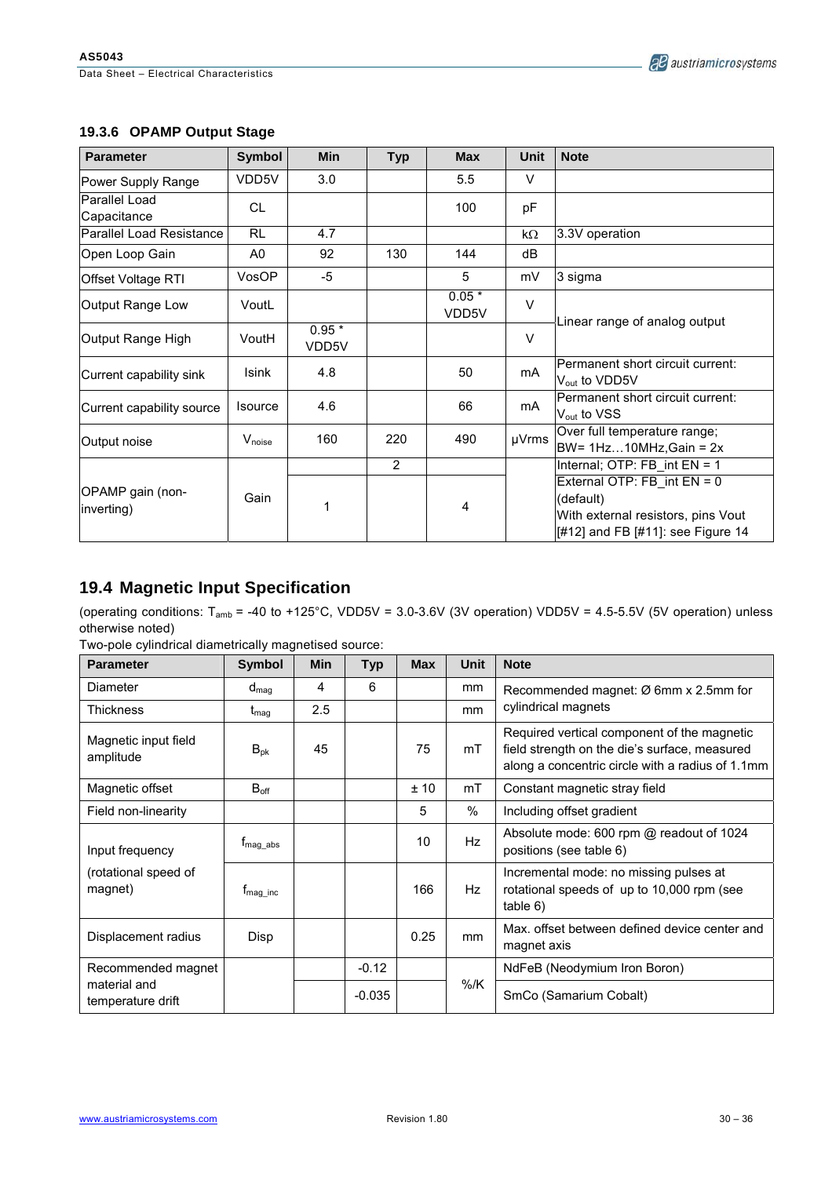### **19.3.6 OPAMP Output Stage**

| <b>Parameter</b>               | <b>Symbol</b>      | <b>Min</b>       | <b>Typ</b>     | <b>Max</b>       | <b>Unit</b>    | <b>Note</b>                                                                                                         |  |
|--------------------------------|--------------------|------------------|----------------|------------------|----------------|---------------------------------------------------------------------------------------------------------------------|--|
| Power Supply Range             | VDD5V              | 3.0              |                | 5.5              | v              |                                                                                                                     |  |
| Parallel Load<br>Capacitance   | CL.                |                  |                | 100              | pF             |                                                                                                                     |  |
| Parallel Load Resistance       | <b>RL</b>          | 4.7              |                |                  | $k\Omega$      | 3.3V operation                                                                                                      |  |
| Open Loop Gain                 | A0                 | 92               | 130            | 144              | dB             |                                                                                                                     |  |
| Offset Voltage RTI             | VosOP              | $-5$             |                | 5                | mV             | 3 sigma                                                                                                             |  |
| Output Range Low               | VoutL              |                  |                | $0.05*$<br>VDD5V | $\vee$         |                                                                                                                     |  |
| Output Range High              | VoutH              | $0.95*$<br>VDD5V |                |                  | $\vee$         | Linear range of analog output                                                                                       |  |
| Current capability sink        | <b>Isink</b>       | 4.8              |                | 50               | m <sub>A</sub> | Permanent short circuit current:<br>V <sub>out</sub> to VDD5V                                                       |  |
| Current capability source      | <b>Isource</b>     | 4.6              |                | 66               | mA             | Permanent short circuit current:<br>V <sub>out</sub> to VSS                                                         |  |
| Output noise                   | $V_{\text{noise}}$ | 160              | 220            | 490              | µVrms          | Over full temperature range;<br>BW= $1Hz10MHz$ , Gain = $2x$                                                        |  |
|                                |                    |                  | $\overline{2}$ |                  |                | Internal; OTP: FB int EN = 1                                                                                        |  |
| OPAMP gain (non-<br>inverting) | Gain               | 1                |                | 4                |                | External OTP: FB int EN = 0<br>(default)<br>With external resistors, pins Vout<br>[#12] and FB [#11]: see Figure 14 |  |

# **19.4 Magnetic Input Specification**

(operating conditions: Tamb = -40 to +125°C, VDD5V = 3.0-3.6V (3V operation) VDD5V = 4.5-5.5V (5V operation) unless otherwise noted)

Two-pole cylindrical diametrically magnetised source:

| <b>Parameter</b>                  | <b>Symbol</b>    | <b>Min</b> | <b>Typ</b> | <b>Max</b> | Unit          | <b>Note</b>                                                                                                                                      |
|-----------------------------------|------------------|------------|------------|------------|---------------|--------------------------------------------------------------------------------------------------------------------------------------------------|
| Diameter                          | $d_{mag}$        | 4          | 6          |            | mm            | Recommended magnet: Ø 6mm x 2.5mm for                                                                                                            |
| <b>Thickness</b>                  | $t_{\sf mag}$    | 2.5        |            |            | mm            | cylindrical magnets                                                                                                                              |
| Magnetic input field<br>amplitude | $B_{pk}$         | 45         |            | 75         | mT            | Required vertical component of the magnetic<br>field strength on the die's surface, measured<br>along a concentric circle with a radius of 1.1mm |
| Magnetic offset                   | $B_{\text{off}}$ |            |            | ±10        | mT            | Constant magnetic stray field                                                                                                                    |
| Field non-linearity               |                  |            |            | 5          | $\frac{0}{0}$ | Including offset gradient                                                                                                                        |
| Input frequency                   | $t_{mag\_abs}$   |            |            | 10         | Hz            | Absolute mode: 600 rpm @ readout of 1024<br>positions (see table 6)                                                                              |
| (rotational speed of<br>magnet)   | $t_{mag}$ inc    |            |            | 166        | <b>Hz</b>     | Incremental mode: no missing pulses at<br>rotational speeds of up to 10,000 rpm (see<br>table 6)                                                 |
| Displacement radius               | <b>Disp</b>      |            |            | 0.25       | mm            | Max, offset between defined device center and<br>magnet axis                                                                                     |
| Recommended magnet                |                  |            | $-0.12$    |            |               | NdFeB (Neodymium Iron Boron)                                                                                                                     |
| material and<br>temperature drift |                  |            | $-0.035$   |            | $%$ /K        | SmCo (Samarium Cobalt)                                                                                                                           |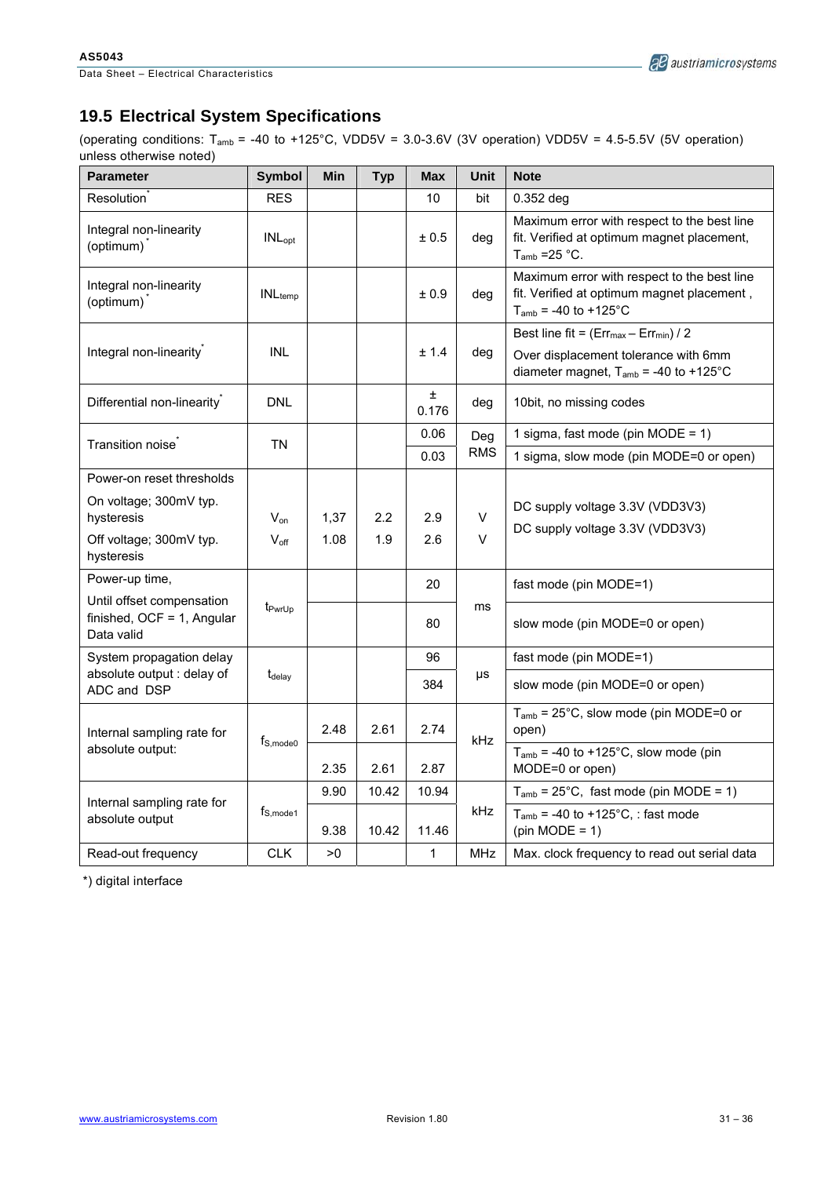# **19.5 Electrical System Specifications**

(operating conditions: T<sub>amb</sub> = -40 to +125°C, VDD5V =  $3.0-3.6V$  (3V operation) VDD5V =  $4.5-5.5V$  (5V operation) unless otherwise noted)

| <b>Parameter</b>                                                         | <b>Symbol</b>             | Min  | <b>Typ</b> | <b>Max</b>   | Unit       | <b>Note</b>                                                                                                                       |
|--------------------------------------------------------------------------|---------------------------|------|------------|--------------|------------|-----------------------------------------------------------------------------------------------------------------------------------|
| Resolution <sup>®</sup>                                                  | <b>RES</b>                |      |            | 10           | bit        | $0.352$ deg                                                                                                                       |
| Integral non-linearity<br>(optimum)                                      | <b>INL</b> <sub>opt</sub> |      |            | ± 0.5        | deg        | Maximum error with respect to the best line<br>fit. Verified at optimum magnet placement,<br>$T_{amb}$ =25 °C.                    |
| Integral non-linearity<br>(optimum)                                      | $INL_{temp}$              |      |            | ± 0.9        | deg        | Maximum error with respect to the best line<br>fit. Verified at optimum magnet placement,<br>$T_{amb}$ = -40 to +125°C            |
| Integral non-linearity                                                   | <b>INL</b>                |      |            | ± 1.4        | deg        | Best line fit = $(Err_{max} - Err_{min})/2$<br>Over displacement tolerance with 6mm<br>diameter magnet, $T_{amb}$ = -40 to +125°C |
| Differential non-linearity                                               | <b>DNL</b>                |      |            | Ŧ.<br>0.176  | deg        | 10bit, no missing codes                                                                                                           |
| Transition noise                                                         | TN                        |      |            | 0.06         | Deg        | 1 sigma, fast mode (pin MODE = 1)                                                                                                 |
|                                                                          |                           |      |            | 0.03         | <b>RMS</b> | 1 sigma, slow mode (pin MODE=0 or open)                                                                                           |
| Power-on reset thresholds                                                |                           |      |            |              |            |                                                                                                                                   |
| On voltage; 300mV typ.<br>hysteresis                                     | $V_{on}$                  | 1,37 | 2.2        | 2.9          | V          | DC supply voltage 3.3V (VDD3V3)<br>DC supply voltage 3.3V (VDD3V3)                                                                |
| Off voltage; 300mV typ.<br>hysteresis                                    | $V_{\text{off}}$          | 1.08 | 1.9        | 2.6          | V          |                                                                                                                                   |
| Power-up time,                                                           |                           |      |            | 20           |            | fast mode (pin MODE=1)                                                                                                            |
| Until offset compensation<br>finished, $OCF = 1$ , Angular<br>Data valid | t <sub>PwrUp</sub>        |      |            | 80           | ms         | slow mode (pin MODE=0 or open)                                                                                                    |
| System propagation delay                                                 |                           |      |            | 96           |            | fast mode (pin MODE=1)                                                                                                            |
| absolute output : delay of<br>ADC and DSP                                | $t_{\text{delay}}$        |      |            | 384          | μs         | slow mode (pin MODE=0 or open)                                                                                                    |
| Internal sampling rate for                                               | $t_{S, mode0}$            | 2.48 | 2.61       | 2.74         | kHz        | $T_{amb}$ = 25°C, slow mode (pin MODE=0 or<br>open)                                                                               |
| absolute output:                                                         |                           | 2.35 | 2.61       | 2.87         |            | $T_{amb}$ = -40 to +125°C, slow mode (pin<br>MODE=0 or open)                                                                      |
| Internal sampling rate for                                               |                           | 9.90 | 10.42      | 10.94        |            | $T_{amb}$ = 25°C, fast mode (pin MODE = 1)                                                                                        |
| absolute output                                                          | $t_{S, mode1}$            | 9.38 | 10.42      | 11.46        | kHz        | $T_{amb}$ = -40 to +125°C, : fast mode<br>$(pin MODE = 1)$                                                                        |
| Read-out frequency                                                       | <b>CLK</b>                | >0   |            | $\mathbf{1}$ | MHz        | Max. clock frequency to read out serial data                                                                                      |

\*) digital interface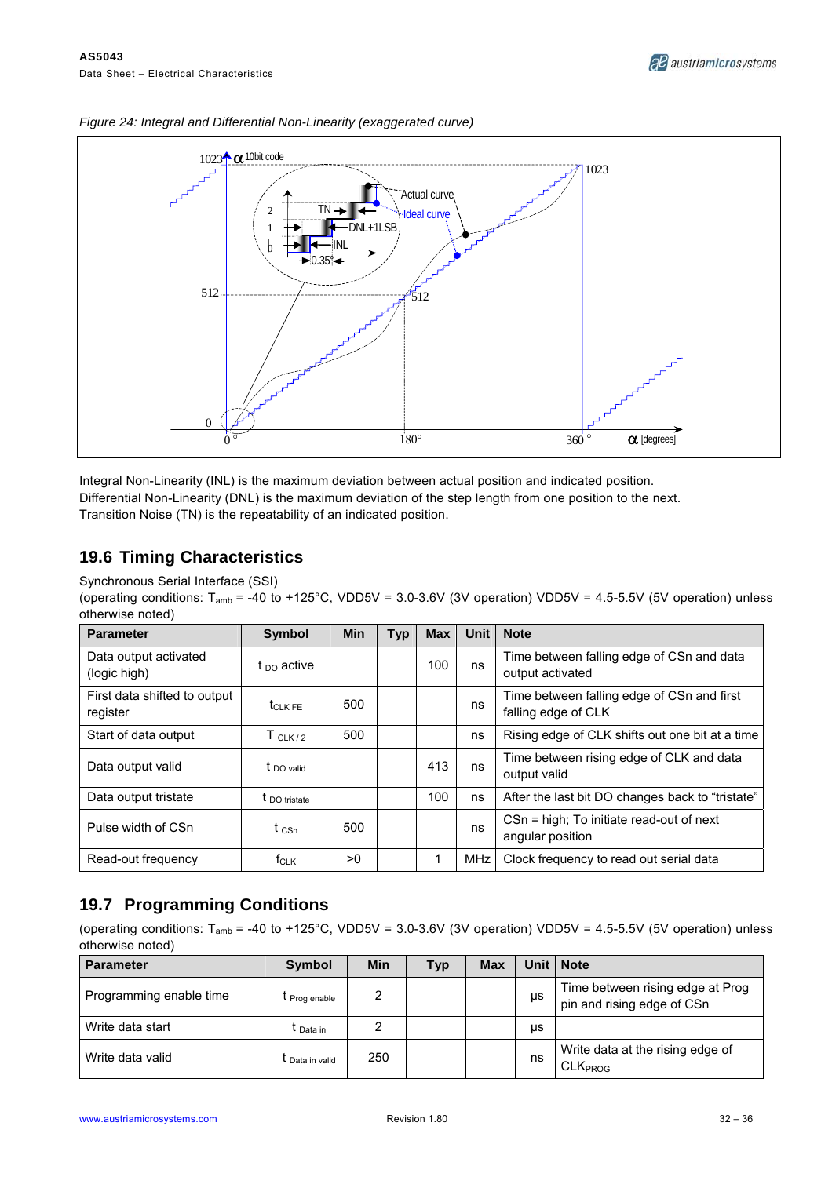Data Sheet – Electrical Characteristics



*Figure 24: Integral and Differential Non-Linearity (exaggerated curve)* 

Integral Non-Linearity (INL) is the maximum deviation between actual position and indicated position. Differential Non-Linearity (DNL) is the maximum deviation of the step length from one position to the next. Transition Noise (TN) is the repeatability of an indicated position.

### **19.6 Timing Characteristics**

Synchronous Serial Interface (SSI)

(operating conditions:  $T_{amb}$  = -40 to +125°C, VDD5V = 3.0-3.6V (3V operation) VDD5V = 4.5-5.5V (5V operation) unless otherwise noted)

| <b>Parameter</b>                         | <b>Symbol</b>          | <b>Min</b> | <b>Typ</b> | <b>Max</b> | Unit | <b>Note</b>                                                       |
|------------------------------------------|------------------------|------------|------------|------------|------|-------------------------------------------------------------------|
| Data output activated<br>(logic high)    | t <sub>DO</sub> active |            |            | 100        | ns   | Time between falling edge of CSn and data<br>output activated     |
| First data shifted to output<br>register | <b>t</b> CLK FE        | 500        |            |            | ns   | Time between falling edge of CSn and first<br>falling edge of CLK |
| Start of data output                     | $T_{CLK/2}$            | 500        |            |            | ns   | Rising edge of CLK shifts out one bit at a time                   |
| Data output valid                        | $t$ DO valid           |            |            | 413        | ns   | Time between rising edge of CLK and data<br>output valid          |
| Data output tristate                     | <b>t</b> DO tristate   |            |            | 100        | ns   | After the last bit DO changes back to "tristate"                  |
| Pulse width of CSn                       | t csn                  | 500        |            |            | ns   | CSn = high; To initiate read-out of next<br>angular position      |
| Read-out frequency                       | $f_{CLK}$              | >0         |            |            | MHz  | Clock frequency to read out serial data                           |

### **19.7 Programming Conditions**

(operating conditions:  $T_{amb}$  = -40 to +125°C, VDD5V = 3.0-3.6V (3V operation) VDD5V = 4.5-5.5V (5V operation) unless otherwise noted)

| <b>Parameter</b>        | Symbol        | Min | Typ | <b>Max</b> | Unit ∣ | <b>Note</b>                                                    |
|-------------------------|---------------|-----|-----|------------|--------|----------------------------------------------------------------|
| Programming enable time | I Prog enable | 2   |     |            | μs     | Time between rising edge at Prog<br>pin and rising edge of CSn |
| Write data start        | t Data in     | ◠   |     |            | μs     |                                                                |
| Write data valid        | Data in valid | 250 |     |            | ns     | Write data at the rising edge of<br>CLK <sub>PROG</sub>        |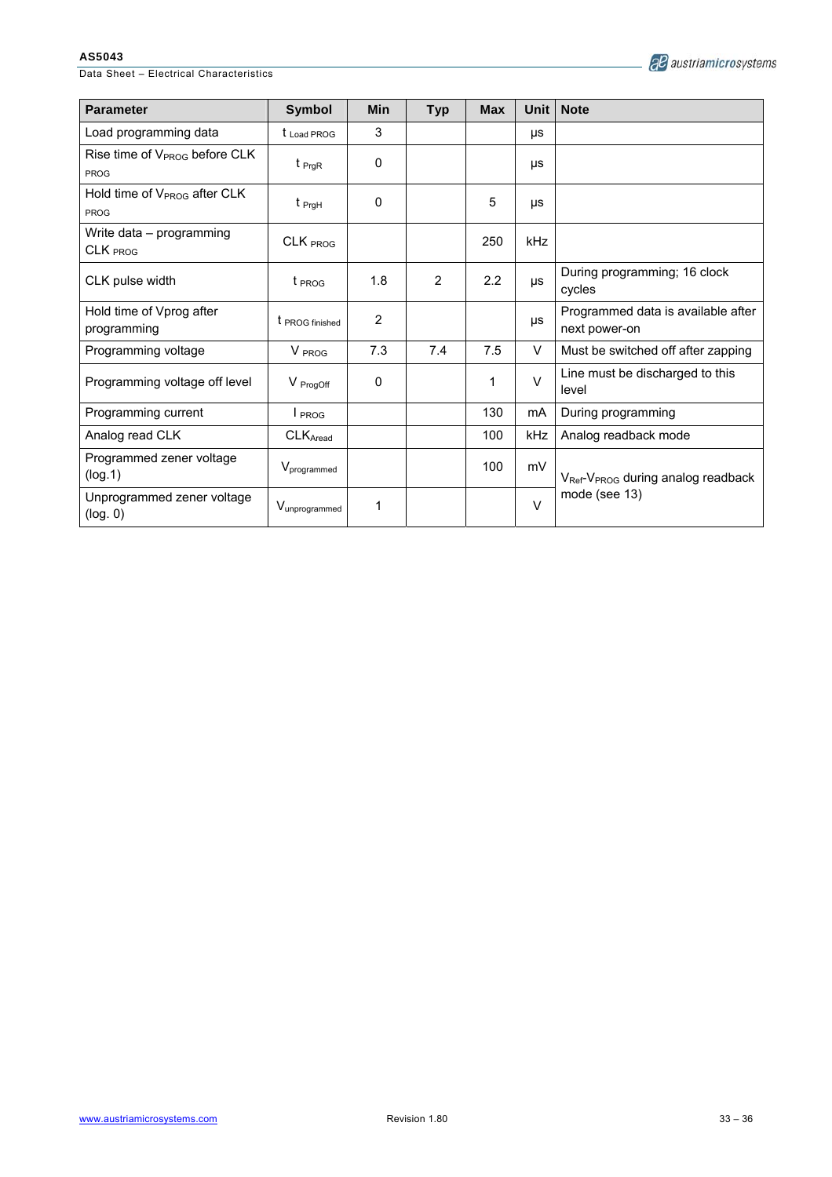Data Sheet – Electrical Characteristics

|  | all austriamicrosystems |
|--|-------------------------|
|--|-------------------------|

| <b>Parameter</b>                                         | <b>Symbol</b>           | Min            | <b>Typ</b> | <b>Max</b> | Unit   | <b>Note</b>                                                |  |
|----------------------------------------------------------|-------------------------|----------------|------------|------------|--------|------------------------------------------------------------|--|
| Load programming data                                    | $t_{\text{Load PROG}}$  | 3              |            |            | μs     |                                                            |  |
| Rise time of V <sub>PROG</sub> before CLK<br><b>PROG</b> | $t_{PrqR}$              | 0              |            |            | μs     |                                                            |  |
| Hold time of V <sub>PROG</sub> after CLK<br><b>PROG</b>  | $t_{\text{PrgH}}$       | 0              |            | 5          | μs     |                                                            |  |
| Write data - programming<br>CLK PROG                     | CLK PROG                |                |            | 250        | kHz    |                                                            |  |
| CLK pulse width                                          | t <sub>PROG</sub>       | 1.8            | 2          | 2.2        | μs     | During programming; 16 clock<br>cycles                     |  |
| Hold time of Vprog after<br>programming                  | t PROG finished         | $\overline{2}$ |            |            | μs     | Programmed data is available after<br>next power-on        |  |
| Programming voltage                                      | V PROG                  | 7.3            | 7.4        | 7.5        | V      | Must be switched off after zapping                         |  |
| Programming voltage off level                            | V ProgOff               | 0              |            | 1          | $\vee$ | Line must be discharged to this<br>level                   |  |
| Programming current                                      | $I_{PROG}$              |                |            | 130        | mA     | During programming                                         |  |
| Analog read CLK                                          | CLKAread                |                |            | 100        | kHz    | Analog readback mode                                       |  |
| Programmed zener voltage<br>(log.1)                      | V <sub>programmed</sub> |                |            | 100        | mV     | V <sub>Ref</sub> -V <sub>PROG</sub> during analog readback |  |
| Unprogrammed zener voltage<br>(log. 0)                   | Vunprogrammed           | 1              |            |            | $\vee$ | mode (see 13)                                              |  |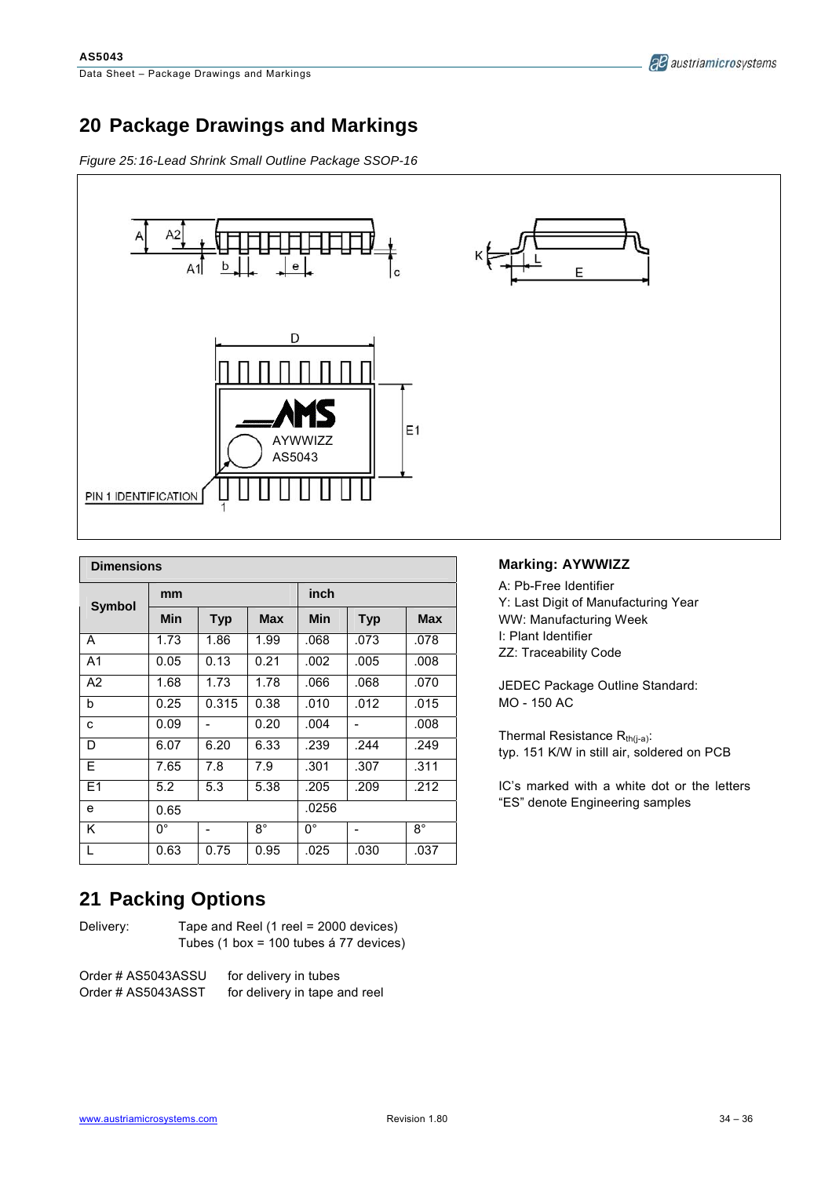# **20 Package Drawings and Markings**

*Figure 25: 16-Lead Shrink Small Outline Package SSOP-16* 



| <b>Dimensions</b> |      |            |             |            |            |             |
|-------------------|------|------------|-------------|------------|------------|-------------|
| <b>Symbol</b>     | mm   |            |             | inch       |            |             |
|                   | Min  | <b>Typ</b> | <b>Max</b>  | <b>Min</b> | <b>Typ</b> | <b>Max</b>  |
| A                 | 1.73 | 1.86       | 1.99        | .068       | .073       | .078        |
| A <sub>1</sub>    | 0.05 | 0.13       | 0.21        | .002       | .005       | .008        |
| A2                | 1.68 | 1.73       | 1.78        | .066       | .068       | .070        |
| b                 | 0.25 | 0.315      | 0.38        | .010       | .012       | .015        |
| c                 | 0.09 |            | 0.20        | .004       | -          | .008        |
| D                 | 6.07 | 6.20       | 6.33        | .239       | .244       | .249        |
| E                 | 7.65 | 7.8        | 7.9         | .301       | .307       | .311        |
| E <sub>1</sub>    | 5.2  | 5.3        | 5.38        | .205       | .209       | .212        |
| e                 | 0.65 |            |             | .0256      |            |             |
| Κ                 | 0°   |            | $8^{\circ}$ | 0°         |            | $8^{\circ}$ |
| L                 | 0.63 | 0.75       | 0.95        | .025       | .030       | .037        |

### **Marking: AYWWIZZ**

A: Pb-Free Identifier Y: Last Digit of Manufacturing Year WW: Manufacturing Week I: Plant Identifier ZZ: Traceability Code

JEDEC Package Outline Standard: MO - 150 AC

Thermal Resistance  $R_{th(j-a)}$ : typ. 151 K/W in still air, soldered on PCB

IC's marked with a white dot or the letters "ES" denote Engineering samples

# **21 Packing Options**

Delivery: Tape and Reel (1 reel = 2000 devices) Tubes (1 box = 100 tubes á 77 devices)

Order # AS5043ASSU for delivery in tubes Order # AS5043ASST for delivery in tape and reel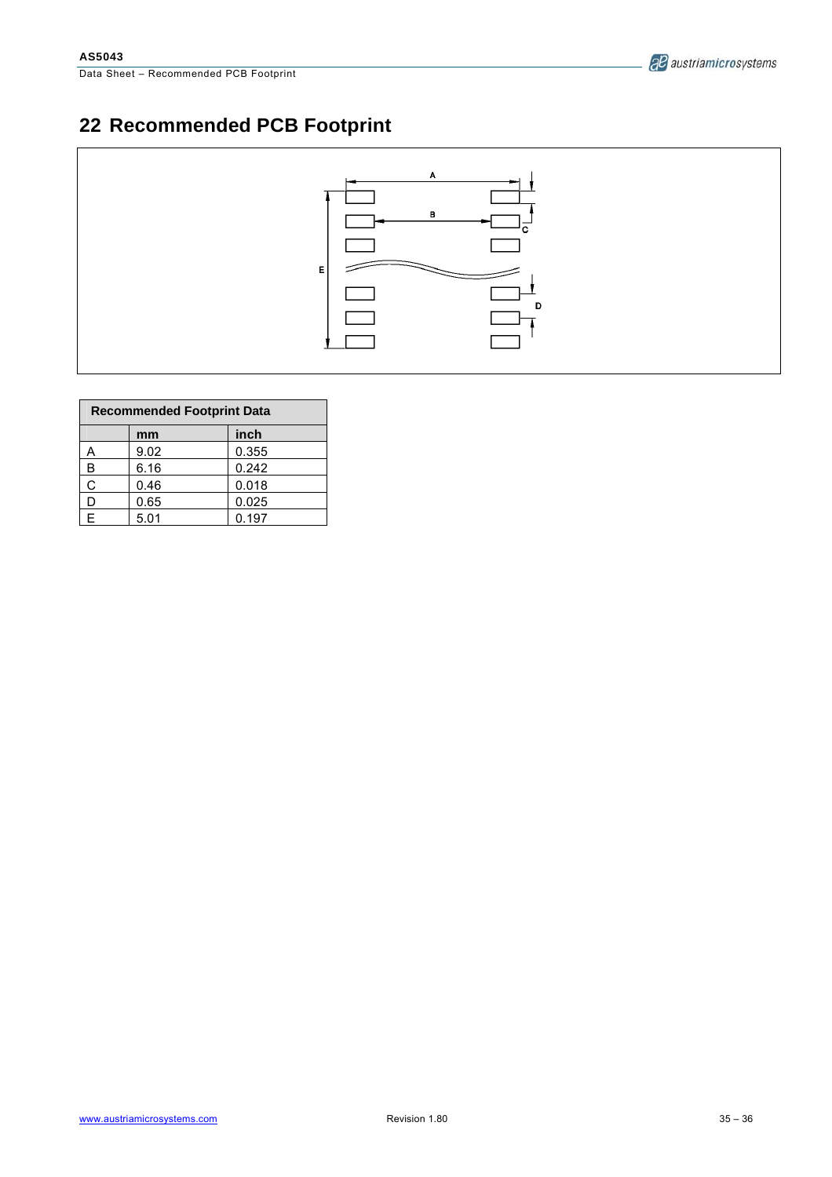# **22 Recommended PCB Footprint**



| <b>Recommended Footprint Data</b> |      |       |  |  |  |
|-----------------------------------|------|-------|--|--|--|
|                                   | mm   | inch  |  |  |  |
| A                                 | 9.02 | 0.355 |  |  |  |
| B                                 | 6.16 | 0.242 |  |  |  |
| Ċ                                 | 0.46 | 0.018 |  |  |  |
| D                                 | 0.65 | 0.025 |  |  |  |
| E                                 | 5.01 | 0.197 |  |  |  |